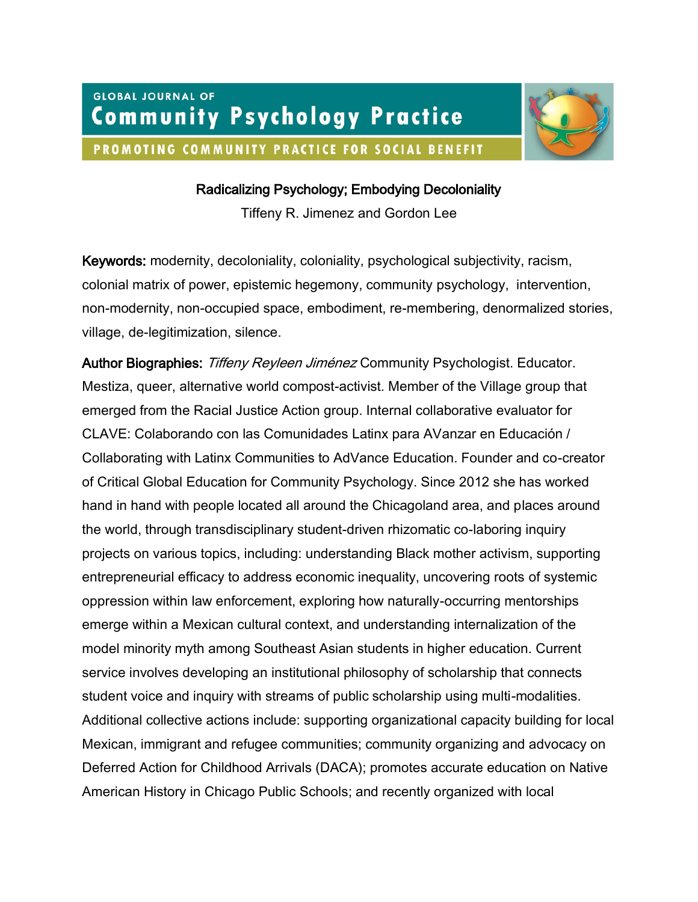

## Radicalizing Psychology; Embodying Decoloniality

Tiffeny R. Jimenez and Gordon Lee

Keywords: modernity, decoloniality, coloniality, psychological subjectivity, racism, colonial matrix of power, epistemic hegemony, community psychology, intervention, non-modernity, non-occupied space, embodiment, re-membering, denormalized stories, village, de-legitimization, silence.

Author Biographies: Tiffeny Reyleen Jiménez Community Psychologist. Educator. Mestiza, queer, alternative world compost-activist. Member of the Village group that emerged from the Racial Justice Action group. Internal collaborative evaluator for CLAVE: Colaborando con las Comunidades Latinx para AVanzar en Educación / Collaborating with Latinx Communities to AdVance Education. Founder and co-creator of Critical Global Education for Community Psychology. Since 2012 she has worked hand in hand with people located all around the Chicagoland area, and places around the world, through transdisciplinary student-driven rhizomatic co-laboring inquiry projects on various topics, including: understanding Black mother activism, supporting entrepreneurial efficacy to address economic inequality, uncovering roots of systemic oppression within law enforcement, exploring how naturally-occurring mentorships emerge within a Mexican cultural context, and understanding internalization of the model minority myth among Southeast Asian students in higher education. Current service involves developing an institutional philosophy of scholarship that connects student voice and inquiry with streams of public scholarship using multi-modalities. Additional collective actions include: supporting organizational capacity building for local Mexican, immigrant and refugee communities; community organizing and advocacy on Deferred Action for Childhood Arrivals (DACA); promotes accurate education on Native American History in Chicago Public Schools; and recently organized with local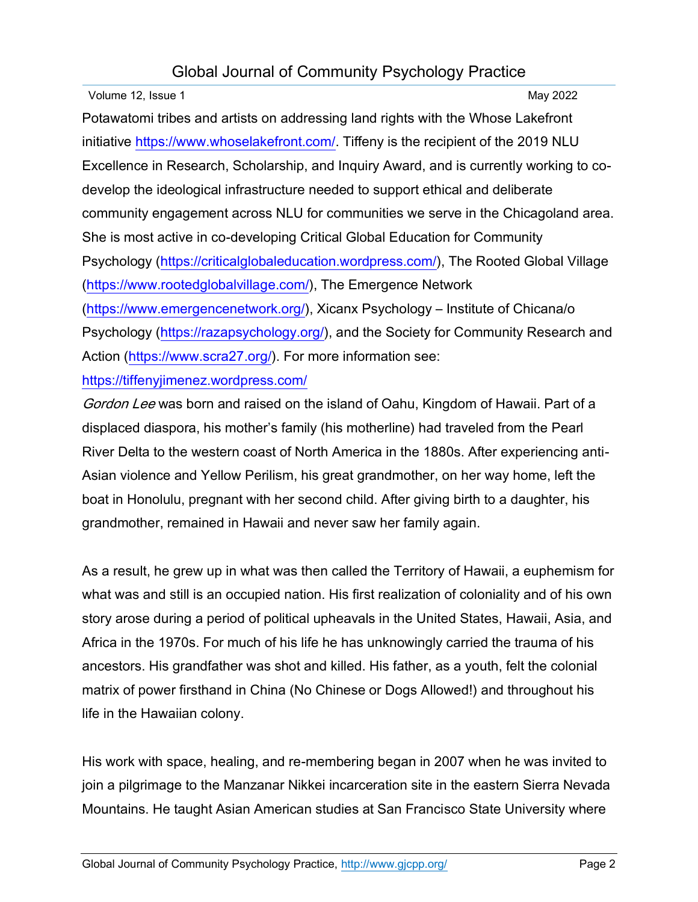Volume 12, Issue 1 May 2022

Potawatomi tribes and artists on addressing land rights with the Whose Lakefront initiative [https://www.whoselakefront.com/.](https://www.whoselakefront.com/) Tiffeny is the recipient of the 2019 NLU Excellence in Research, Scholarship, and Inquiry Award, and is currently working to codevelop the ideological infrastructure needed to support ethical and deliberate community engagement across NLU for communities we serve in the Chicagoland area. She is most active in co-developing Critical Global Education for Community Psychology [\(https://criticalglobaleducation.wordpress.com/\)](https://criticalglobaleducation.wordpress.com/), The Rooted Global Village [\(https://www.rootedglobalvillage.com/\)](https://www.rootedglobalvillage.com/), The Emergence Network [\(https://www.emergencenetwork.org/\)](https://www.emergencenetwork.org/), Xicanx Psychology – Institute of Chicana/o Psychology [\(https://razapsychology.org/\)](https://razapsychology.org/), and the Society for Community Research and Action [\(https://www.scra27.org/\)](https://www.scra27.org/). For more information see: <https://tiffenyjimenez.wordpress.com/>

Gordon Lee was born and raised on the island of Oahu, Kingdom of Hawaii. Part of a displaced diaspora, his mother's family (his motherline) had traveled from the Pearl River Delta to the western coast of North America in the 1880s. After experiencing anti-Asian violence and Yellow Perilism, his great grandmother, on her way home, left the boat in Honolulu, pregnant with her second child. After giving birth to a daughter, his grandmother, remained in Hawaii and never saw her family again.

As a result, he grew up in what was then called the Territory of Hawaii, a euphemism for what was and still is an occupied nation. His first realization of coloniality and of his own story arose during a period of political upheavals in the United States, Hawaii, Asia, and Africa in the 1970s. For much of his life he has unknowingly carried the trauma of his ancestors. His grandfather was shot and killed. His father, as a youth, felt the colonial matrix of power firsthand in China (No Chinese or Dogs Allowed!) and throughout his life in the Hawaiian colony.

His work with space, healing, and re-membering began in 2007 when he was invited to join a pilgrimage to the Manzanar Nikkei incarceration site in the eastern Sierra Nevada Mountains. He taught Asian American studies at San Francisco State University where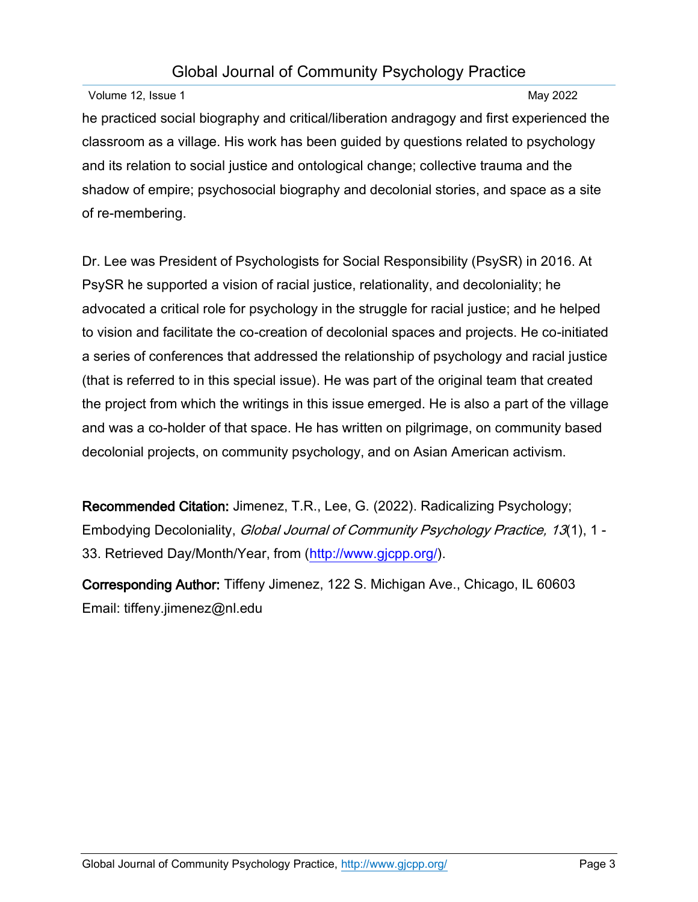Volume 12, Issue 1 May 2022

he practiced social biography and critical/liberation andragogy and first experienced the classroom as a village. His work has been guided by questions related to psychology and its relation to social justice and ontological change; collective trauma and the shadow of empire; psychosocial biography and decolonial stories, and space as a site of re-membering.

Dr. Lee was President of Psychologists for Social Responsibility (PsySR) in 2016. At PsySR he supported a vision of racial justice, relationality, and decoloniality; he advocated a critical role for psychology in the struggle for racial justice; and he helped to vision and facilitate the co-creation of decolonial spaces and projects. He co-initiated a series of conferences that addressed the relationship of psychology and racial justice (that is referred to in this special issue). He was part of the original team that created the project from which the writings in this issue emerged. He is also a part of the village and was a co-holder of that space. He has written on pilgrimage, on community based decolonial projects, on community psychology, and on Asian American activism.

Recommended Citation: Jimenez, T.R., Lee, G. (2022). Radicalizing Psychology; Embodying Decoloniality, Global Journal of Community Psychology Practice, 13(1), 1 - 33. Retrieved Day/Month/Year, from [\(http://www.gjcpp.org/\)](http://www.gjcpp.org/).

Corresponding Author: Tiffeny Jimenez, 122 S. Michigan Ave., Chicago, IL 60603 Email: tiffeny.jimenez@nl.edu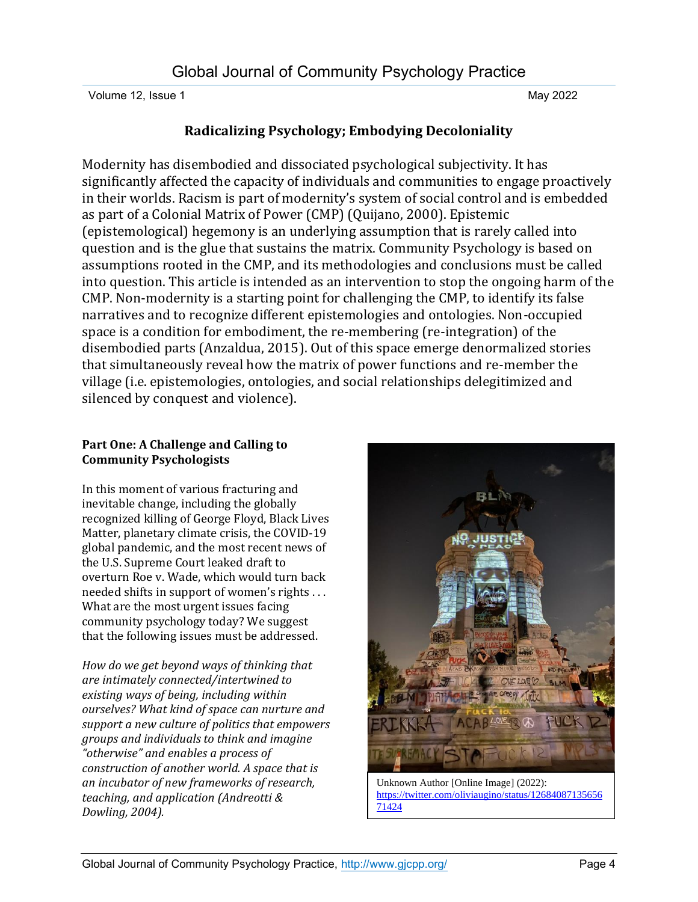## **Radicalizing Psychology; Embodying Decoloniality**

Modernity has disembodied and dissociated psychological subjectivity. It has significantly affected the capacity of individuals and communities to engage proactively in their worlds. Racism is part of modernity's system of social control and is embedded as part of a Colonial Matrix of Power (CMP) (Quijano, 2000). Epistemic (epistemological) hegemony is an underlying assumption that is rarely called into question and is the glue that sustains the matrix. Community Psychology is based on assumptions rooted in the CMP, and its methodologies and conclusions must be called into question. This article is intended as an intervention to stop the ongoing harm of the CMP. Non-modernity is a starting point for challenging the CMP, to identify its false narratives and to recognize different epistemologies and ontologies. Non-occupied space is a condition for embodiment, the re-membering (re-integration) of the disembodied parts (Anzaldua, 2015). Out of this space emerge denormalized stories that simultaneously reveal how the matrix of power functions and re-member the village (i.e. epistemologies, ontologies, and social relationships delegitimized and silenced by conquest and violence).

## **Part One: A Challenge and Calling to Community Psychologists**

In this moment of various fracturing and inevitable change, including the globally recognized killing of George Floyd, Black Lives Matter, planetary climate crisis, the COVID-19 global pandemic, and the most recent news of the U.S. Supreme Court leaked draft to overturn Roe v. Wade, which would turn back needed shifts in support of women's rights . . . What are the most urgent issues facing community psychology today? We suggest that the following issues must be addressed.

*How do we get beyond ways of thinking that are intimately connected/intertwined to existing ways of being, including within ourselves? What kind of space can nurture and support a new culture of politics that empowers groups and individuals to think and imagine "otherwise" and enables a process of construction of another world. A space that is an incubator of new frameworks of research, teaching, and application (Andreotti & Dowling, 2004).*



[https://twitter.com/oliviaugino/status/12684087135656](https://twitter.com/oliviaugino/status/1268408713565671424) [71424](https://twitter.com/oliviaugino/status/1268408713565671424)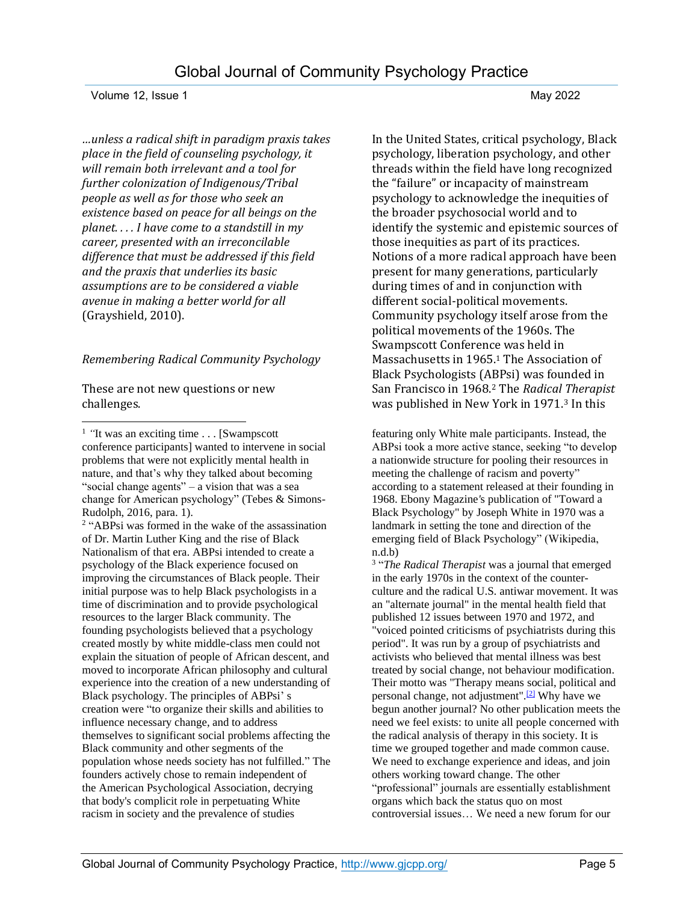*…unless a radical shift in paradigm praxis takes place in the field of counseling psychology, it will remain both irrelevant and a tool for further colonization of Indigenous/Tribal people as well as for those who seek an existence based on peace for all beings on the planet. . . . I have come to a standstill in my career, presented with an irreconcilable difference that must be addressed if this field and the praxis that underlies its basic assumptions are to be considered a viable avenue in making a better world for all*  (Grayshield, 2010).

### *Remembering Radical Community Psychology*

These are not new questions or new challenges.

<sup>2</sup> "ABPsi was formed in the wake of the assassination of Dr. Martin Luther King and the rise of Black Nationalism of that era. ABPsi intended to create a psychology of the Black experience focused on improving the circumstances of Black people. Their initial purpose was to help Black psychologists in a time of discrimination and to provide psychological resources to the larger Black community. The founding psychologists believed that a psychology created mostly by white middle-class men could not explain the situation of people of African descent, and moved to incorporate African philosophy and cultural experience into the creation of a new understanding of Black psychology. The principles of ABPsi' s creation were "to organize their skills and abilities to influence necessary change, and to address themselves to significant social problems affecting the Black community and other segments of the population whose needs society has not fulfilled." The founders actively chose to remain independent of the American Psychological Association, decrying that body's complicit role in perpetuating White racism in society and the prevalence of studies

In the United States, critical psychology, Black psychology, liberation psychology, and other threads within the field have long recognized the "failure" or incapacity of mainstream psychology to acknowledge the inequities of the broader psychosocial world and to identify the systemic and epistemic sources of those inequities as part of its practices. Notions of a more radical approach have been present for many generations, particularly during times of and in conjunction with different social-political movements. Community psychology itself arose from the political movements of the 1960s. The Swampscott Conference was held in Massachusetts in 1965.<sup>1</sup> The Association of Black Psychologists (ABPsi) was founded in San Francisco in 1968.<sup>2</sup> The *Radical Therapist* was published in New York in 1971.<sup>3</sup> In this

featuring only White male participants. Instead, the ABPsi took a more active stance, seeking "to develop a nationwide structure for pooling their resources in meeting the challenge of racism and poverty" according to a statement released at their founding in 1968. Ebony Magazine*'*s publication of "Toward a Black Psychology" by Joseph White in 1970 was a landmark in setting the tone and direction of the emerging field of Black Psychology" (Wikipedia, n.d.b)

<sup>3</sup> "The Radical Therapist was a journal that emerged in the early 1970s in the context of the counterculture and the radical U.S. antiwar movement. It was an "alternate journal" in the mental health field that published 12 issues between 1970 and 1972, and "voiced pointed criticisms of psychiatrists during this period". It was run by a group of psychiatrists and activists who believed that mental illness was best treated by social change, not behaviour modification. Their motto was "Therapy means social, political and personal change, not adjustment".[\[2\]](https://en.wikipedia.org/wiki/The_Radical_Therapist#cite_note-bitter-2) Why have we begun another journal? No other publication meets the need we feel exists: to unite all people concerned with the radical analysis of therapy in this society. It is time we grouped together and made common cause. We need to exchange experience and ideas, and join others working toward change. The other "professional" journals are essentially establishment organs which back the status quo on most controversial issues… We need a new forum for our

<sup>1</sup> *"*It was an exciting time . . . [Swampscott conference participants] wanted to intervene in social problems that were not explicitly mental health in nature, and that's why they talked about becoming "social change agents" – a vision that was a sea change for American psychology" (Tebes & Simons-Rudolph, 2016, para. 1).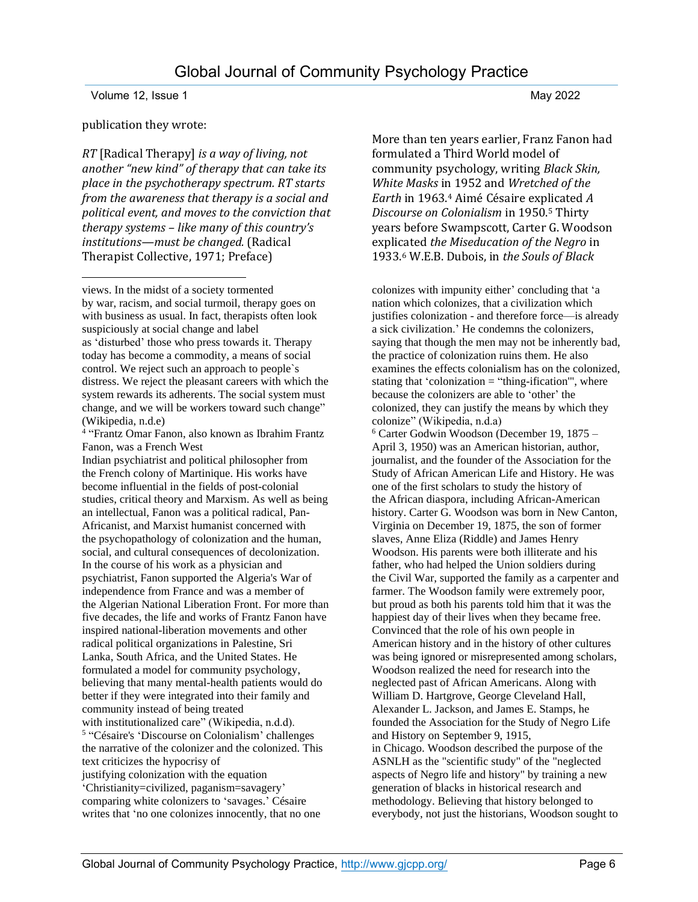publication they wrote:

*RT* [Radical Therapy] *is a way of living, not another "new kind" of therapy that can take its place in the psychotherapy spectrum. RT starts from the awareness that therapy is a social and political event, and moves to the conviction that therapy systems – like many of this country's institutions—must be changed.* (Radical Therapist Collective, 1971; Preface)

views. In the midst of a society tormented by war, racism, and social turmoil, therapy goes on with business as usual. In fact, therapists often look suspiciously at social change and label as 'disturbed' those who press towards it. Therapy today has become a commodity, a means of social control. We reject such an approach to people`s distress. We reject the pleasant careers with which the system rewards its adherents. The social system must change, and we will be workers toward such change" (Wikipedia, n.d.e)

4 "Frantz Omar Fanon, also known as Ibrahim Frantz Fanon, was a French West

Indian psychiatrist and political philosopher from the French colony of Martinique. His works have become influential in the fields of post-colonial studies, critical theory and Marxism. As well as being an intellectual, Fanon was a political radical, Pan-Africanist, and Marxist humanist concerned with the psychopathology of colonization and the human, social, and cultural consequences of decolonization. In the course of his work as a physician and psychiatrist, Fanon supported the Algeria's War of independence from France and was a member of the Algerian National Liberation Front. For more than five decades, the life and works of Frantz Fanon have inspired national-liberation movements and other radical political organizations in Palestine, Sri Lanka, South Africa, and the United States. He formulated a model for community psychology, believing that many mental-health patients would do better if they were integrated into their family and community instead of being treated with institutionalized care" (Wikipedia, n.d.d). 5 "Césaire's 'Discourse on Colonialism' challenges the narrative of the colonizer and the colonized. This text criticizes the hypocrisy of justifying colonization with the equation 'Christianity=civilized, paganism=savagery' comparing white colonizers to 'savages.' Césaire writes that 'no one colonizes innocently, that no one

More than ten years earlier, Franz Fanon had formulated a Third World model of community psychology, writing *Black Skin, White Masks* in 1952 and *Wretched of the Earth* in 1963.<sup>4</sup> Aimé Césaire explicated *A Discourse on Colonialism* in 1950.<sup>5</sup> Thirty years before Swampscott, Carter G. Woodson explicated *the Miseducation of the Negro* in 1933.<sup>6</sup> W.E.B. Dubois, in *the Souls of Black* 

colonizes with impunity either' concluding that 'a nation which colonizes, that a civilization which justifies colonization - and therefore force—is already a sick civilization.' He condemns the colonizers, saying that though the men may not be inherently bad, the practice of colonization ruins them. He also examines the effects colonialism has on the colonized, stating that 'colonization  $=$  "thing-ification"', where because the colonizers are able to 'other' the colonized, they can justify the means by which they colonize" (Wikipedia, n.d.a)

<sup>6</sup> Carter Godwin Woodson (December 19, 1875 – April 3, 1950) was an American historian, author, journalist, and the founder of the Association for the Study of African American Life and History. He was one of the first scholars to study the history of the African diaspora, including African-American history. Carter G. Woodson was born in New Canton, Virginia on December 19, 1875, the son of former slaves, Anne Eliza (Riddle) and James Henry Woodson. His parents were both illiterate and his father, who had helped the Union soldiers during the Civil War, supported the family as a carpenter and farmer. The Woodson family were extremely poor, but proud as both his parents told him that it was the happiest day of their lives when they became free. Convinced that the role of his own people in American history and in the history of other cultures was being ignored or misrepresented among scholars, Woodson realized the need for research into the neglected past of African Americans. Along with William D. Hartgrove, George Cleveland Hall, Alexander L. Jackson, and James E. Stamps, he founded the Association for the Study of Negro Life and History on September 9, 1915, in Chicago. Woodson described the purpose of the ASNLH as the "scientific study" of the "neglected aspects of Negro life and history" by training a new generation of blacks in historical research and methodology. Believing that history belonged to everybody, not just the historians, Woodson sought to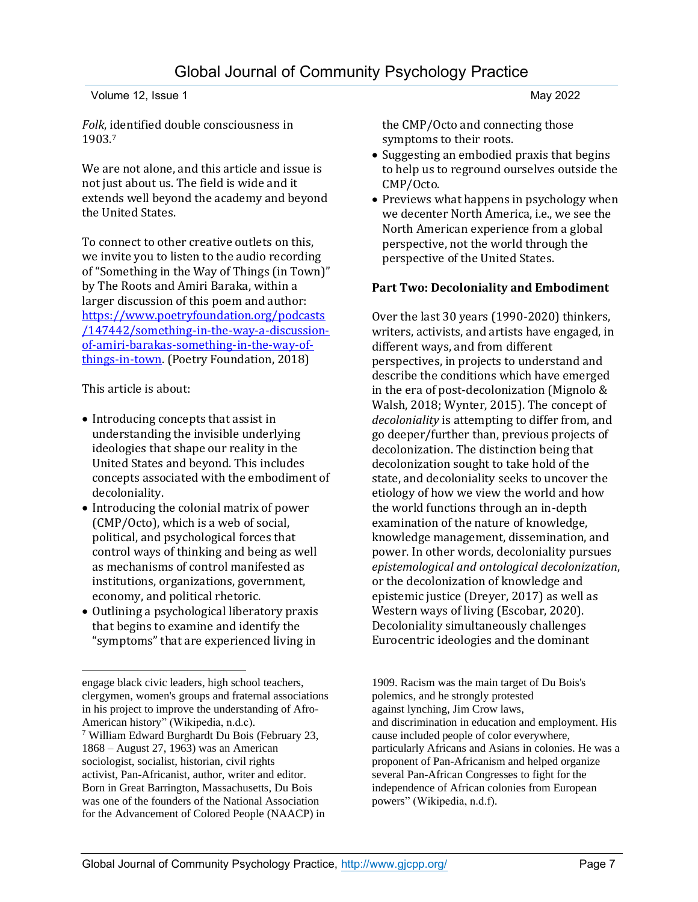*Folk*, identified double consciousness in 1903.<sup>7</sup>

We are not alone, and this article and issue is not just about us. The field is wide and it extends well beyond the academy and beyond the United States.

To connect to other creative outlets on this, we invite you to listen to the audio recording of "Something in the Way of Things (in Town)" by The Roots and Amiri Baraka, within a larger discussion of this poem and author: [https://www.poetryfoundation.org/podcasts](https://www.poetryfoundation.org/podcasts/147442/something-in-the-way-a-discussion-of-amiri-barakas-something-in-the-way-of-things-in-town) [/147442/something-in-the-way-a-discussion](https://www.poetryfoundation.org/podcasts/147442/something-in-the-way-a-discussion-of-amiri-barakas-something-in-the-way-of-things-in-town)[of-amiri-barakas-something-in-the-way-of](https://www.poetryfoundation.org/podcasts/147442/something-in-the-way-a-discussion-of-amiri-barakas-something-in-the-way-of-things-in-town)[things-in-town.](https://www.poetryfoundation.org/podcasts/147442/something-in-the-way-a-discussion-of-amiri-barakas-something-in-the-way-of-things-in-town) (Poetry Foundation, 2018)

This article is about:

- Introducing concepts that assist in understanding the invisible underlying ideologies that shape our reality in the United States and beyond. This includes concepts associated with the embodiment of decoloniality.
- Introducing the colonial matrix of power (CMP/Octo), which is a web of social, political, and psychological forces that control ways of thinking and being as well as mechanisms of control manifested as institutions, organizations, government, economy, and political rhetoric.
- Outlining a psychological liberatory praxis that begins to examine and identify the "symptoms" that are experienced living in

the CMP/Octo and connecting those symptoms to their roots.

- Suggesting an embodied praxis that begins to help us to reground ourselves outside the CMP/Octo.
- Previews what happens in psychology when we decenter North America, i.e., we see the North American experience from a global perspective, not the world through the perspective of the United States.

### **Part Two: Decoloniality and Embodiment**

Over the last 30 years (1990-2020) thinkers, writers, activists, and artists have engaged, in different ways, and from different perspectives, in projects to understand and describe the conditions which have emerged in the era of post-decolonization (Mignolo & Walsh, 2018; Wynter, 2015). The concept of *decoloniality* is attempting to differ from, and go deeper/further than, previous projects of decolonization. The distinction being that decolonization sought to take hold of the state, and decoloniality seeks to uncover the etiology of how we view the world and how the world functions through an in-depth examination of the nature of knowledge, knowledge management, dissemination, and power. In other words, decoloniality pursues *epistemological and ontological decolonization*, or the decolonization of knowledge and epistemic justice (Dreyer, 2017) as well as Western ways of living (Escobar, 2020). Decoloniality simultaneously challenges Eurocentric ideologies and the dominant

1909. Racism was the main target of Du Bois's polemics, and he strongly protested against lynching, Jim Crow laws, and discrimination in education and employment. His cause included people of color everywhere, particularly Africans and Asians in colonies. He was a proponent of Pan-Africanism and helped organize several Pan-African Congresses to fight for the independence of African colonies from European powers" (Wikipedia, n.d.f).

engage black civic leaders, high school teachers, clergymen, women's groups and fraternal associations in his project to improve the understanding of Afro-American history" (Wikipedia, n.d.c).

<sup>7</sup> William Edward Burghardt Du Bois (February 23, 1868 – August 27, 1963) was an American sociologist, socialist, historian, civil rights activist, Pan-Africanist, author, writer and editor. Born in Great Barrington, Massachusetts, Du Bois was one of the founders of the National Association for the Advancement of Colored People (NAACP) in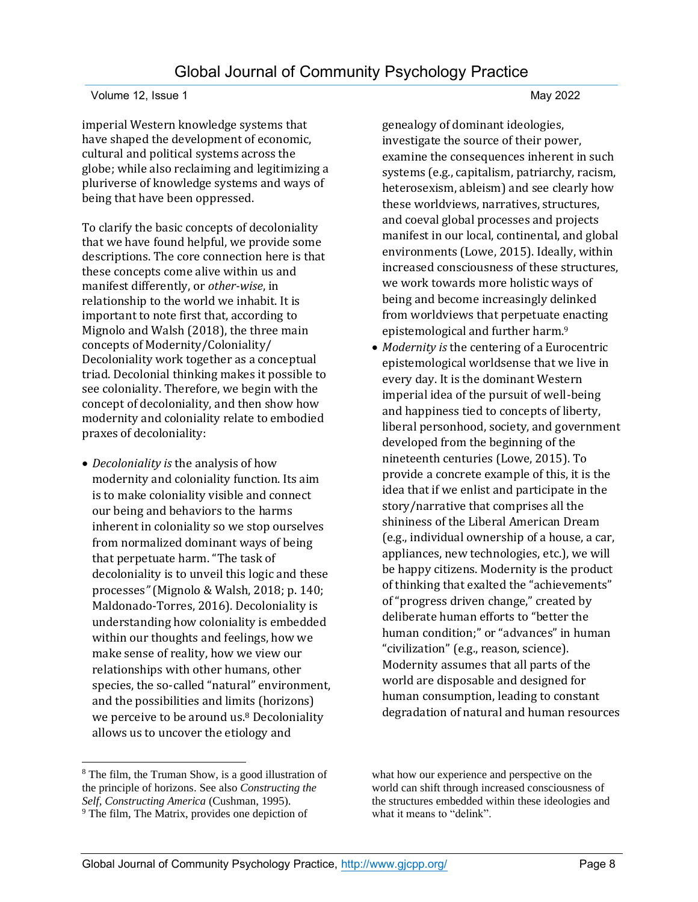imperial Western knowledge systems that have shaped the development of economic, cultural and political systems across the globe; while also reclaiming and legitimizing a pluriverse of knowledge systems and ways of being that have been oppressed.

To clarify the basic concepts of decoloniality that we have found helpful, we provide some descriptions. The core connection here is that these concepts come alive within us and manifest differently, or *other-wise*, in relationship to the world we inhabit. It is important to note first that, according to Mignolo and Walsh (2018), the three main concepts of Modernity/Coloniality/ Decoloniality work together as a conceptual triad. Decolonial thinking makes it possible to see coloniality. Therefore, we begin with the concept of decoloniality, and then show how modernity and coloniality relate to embodied praxes of decoloniality:

• *Decoloniality is* the analysis of how modernity and coloniality function. Its aim is to make coloniality visible and connect our being and behaviors to the harms inherent in coloniality so we stop ourselves from normalized dominant ways of being that perpetuate harm. "The task of decoloniality is to unveil this logic and these processes*"* (Mignolo & Walsh, 2018; p. 140; Maldonado-Torres, 2016). Decoloniality is understanding how coloniality is embedded within our thoughts and feelings, how we make sense of reality, how we view our relationships with other humans, other species, the so-called "natural" environment, and the possibilities and limits (horizons) we perceive to be around us.<sup>8</sup> Decoloniality allows us to uncover the etiology and

<sup>8</sup> The film, the Truman Show, is a good illustration of the principle of horizons. See also *Constructing the Self, Constructing America* (Cushman, 1995). <sup>9</sup> The film, The Matrix, provides one depiction of

genealogy of dominant ideologies, investigate the source of their power, examine the consequences inherent in such systems (e.g., capitalism, patriarchy, racism, heterosexism, ableism) and see clearly how these worldviews, narratives, structures, and coeval global processes and projects manifest in our local, continental, and global environments (Lowe, 2015). Ideally, within increased consciousness of these structures, we work towards more holistic ways of being and become increasingly delinked from worldviews that perpetuate enacting epistemological and further harm.<sup>9</sup>

• *Modernity is* the centering of a Eurocentric epistemological worldsense that we live in every day. It is the dominant Western imperial idea of the pursuit of well-being and happiness tied to concepts of liberty, liberal personhood, society, and government developed from the beginning of the nineteenth centuries (Lowe, 2015). To provide a concrete example of this, it is the idea that if we enlist and participate in the story/narrative that comprises all the shininess of the Liberal American Dream (e.g., individual ownership of a house, a car, appliances, new technologies, etc.), we will be happy citizens. Modernity is the product of thinking that exalted the "achievements" of "progress driven change," created by deliberate human efforts to "better the human condition;" or "advances" in human "civilization" (e.g., reason, science). Modernity assumes that all parts of the world are disposable and designed for human consumption, leading to constant degradation of natural and human resources

what how our experience and perspective on the world can shift through increased consciousness of the structures embedded within these ideologies and what it means to "delink".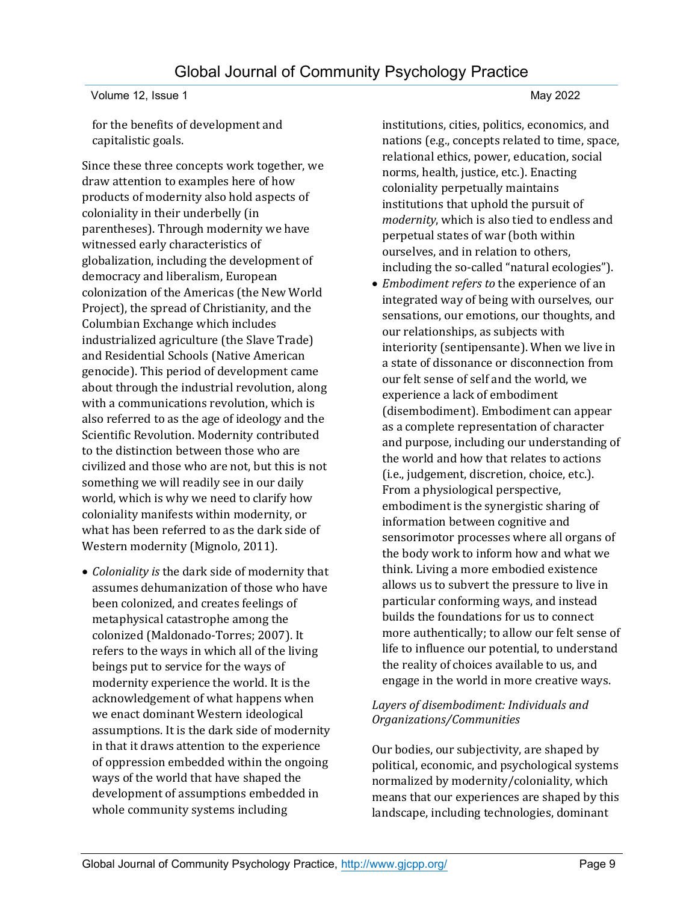for the benefits of development and capitalistic goals.

Since these three concepts work together, we draw attention to examples here of how products of modernity also hold aspects of coloniality in their underbelly (in parentheses). Through modernity we have witnessed early characteristics of globalization, including the development of democracy and liberalism, European colonization of the Americas (the New World Project), the spread of Christianity, and the Columbian Exchange which includes industrialized agriculture (the Slave Trade) and Residential Schools (Native American genocide). This period of development came about through the industrial revolution, along with a communications revolution, which is also referred to as the age of ideology and the Scientific Revolution. Modernity contributed to the distinction between those who are civilized and those who are not, but this is not something we will readily see in our daily world, which is why we need to clarify how coloniality manifests within modernity, or what has been referred to as the dark side of Western modernity (Mignolo, 2011).

• *Coloniality is* the dark side of modernity that assumes dehumanization of those who have been colonized, and creates feelings of metaphysical catastrophe among the colonized (Maldonado-Torres; 2007). It refers to the ways in which all of the living beings put to service for the ways of modernity experience the world. It is the acknowledgement of what happens when we enact dominant Western ideological assumptions. It is the dark side of modernity in that it draws attention to the experience of oppression embedded within the ongoing ways of the world that have shaped the development of assumptions embedded in whole community systems including

institutions, cities, politics, economics, and nations (e.g., concepts related to time, space, relational ethics, power, education, social norms, health, justice, etc.). Enacting coloniality perpetually maintains institutions that uphold the pursuit of *modernity*, which is also tied to endless and perpetual states of war (both within ourselves, and in relation to others, including the so-called "natural ecologies").

• *Embodiment refers to* the experience of an integrated way of being with ourselves, our sensations, our emotions, our thoughts, and our relationships, as subjects with interiority (sentipensante). When we live in a state of dissonance or disconnection from our felt sense of self and the world, we experience a lack of embodiment (disembodiment). Embodiment can appear as a complete representation of character and purpose, including our understanding of the world and how that relates to actions (i.e., judgement, discretion, choice, etc.). From a physiological perspective, embodiment is the synergistic sharing of information between cognitive and sensorimotor processes where all organs of the body work to inform how and what we think. Living a more embodied existence allows us to subvert the pressure to live in particular conforming ways, and instead builds the foundations for us to connect more authentically; to allow our felt sense of life to influence our potential, to understand the reality of choices available to us, and engage in the world in more creative ways.

## *Layers of disembodiment: Individuals and Organizations/Communities*

Our bodies, our subjectivity, are shaped by political, economic, and psychological systems normalized by modernity/coloniality, which means that our experiences are shaped by this landscape, including technologies, dominant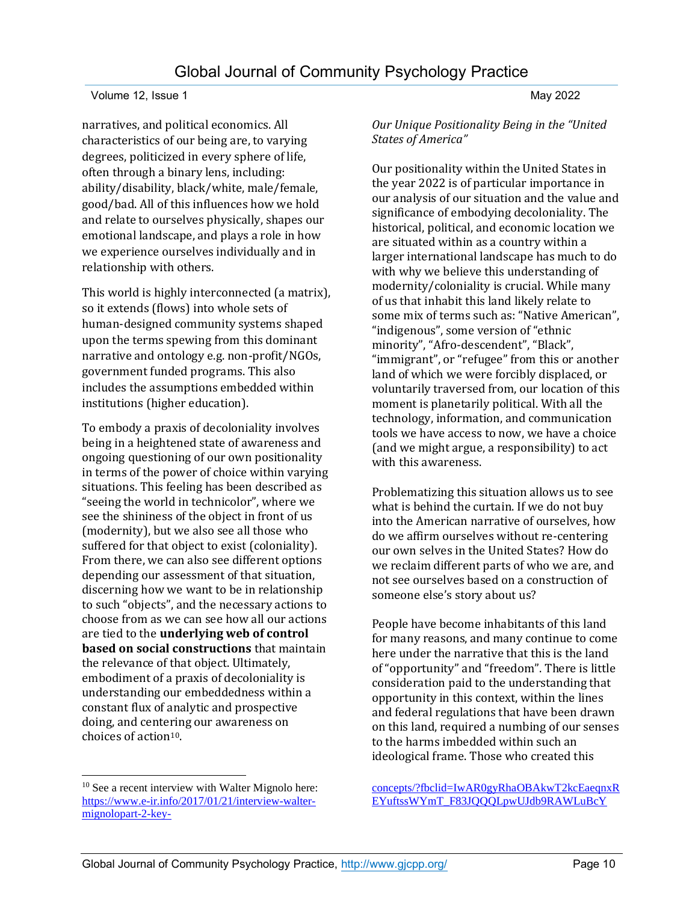## Volume 12, Issue 1 May 2022

narratives, and political economics. All characteristics of our being are, to varying degrees, politicized in every sphere of life, often through a binary lens, including: ability/disability, black/white, male/female, good/bad. All of this influences how we hold and relate to ourselves physically, shapes our emotional landscape, and plays a role in how we experience ourselves individually and in relationship with others.

This world is highly interconnected (a matrix), so it extends (flows) into whole sets of human-designed community systems shaped upon the terms spewing from this dominant narrative and ontology e.g. non-profit/NGOs, government funded programs. This also includes the assumptions embedded within institutions (higher education).

To embody a praxis of decoloniality involves being in a heightened state of awareness and ongoing questioning of our own positionality in terms of the power of choice within varying situations. This feeling has been described as "seeing the world in technicolor", where we see the shininess of the object in front of us (modernity), but we also see all those who suffered for that object to exist (coloniality). From there, we can also see different options depending our assessment of that situation, discerning how we want to be in relationship to such "objects", and the necessary actions to choose from as we can see how all our actions are tied to the **underlying web of control based on social constructions** that maintain the relevance of that object. Ultimately, embodiment of a praxis of decoloniality is understanding our embeddedness within a constant flux of analytic and prospective doing, and centering our awareness on choices of action10.

<sup>10</sup> See a recent interview with Walter Mignolo here: [https://www.e-ir.info/2017/01/21/interview-walter-](https://www.e-ir.info/2017/01/21/interview-walter-mignolopart-2-key-concepts/?fbclid=IwAR0gyRhaOBAkwT2kcEaeqnxREYuftssWYmT_F83JQQQLpwUJdb9RAWLuBcY)

[mignolopart-2-key-](https://www.e-ir.info/2017/01/21/interview-walter-mignolopart-2-key-concepts/?fbclid=IwAR0gyRhaOBAkwT2kcEaeqnxREYuftssWYmT_F83JQQQLpwUJdb9RAWLuBcY)

*Our Unique Positionality Being in the "United States of America"* 

Our positionality within the United States in the year 2022 is of particular importance in our analysis of our situation and the value and significance of embodying decoloniality. The historical, political, and economic location we are situated within as a country within a larger international landscape has much to do with why we believe this understanding of modernity/coloniality is crucial. While many of us that inhabit this land likely relate to some mix of terms such as: "Native American", "indigenous", some version of "ethnic minority", "Afro-descendent", "Black", "immigrant", or "refugee" from this or another land of which we were forcibly displaced, or voluntarily traversed from, our location of this moment is planetarily political. With all the technology, information, and communication tools we have access to now, we have a choice (and we might argue, a responsibility) to act with this awareness.

Problematizing this situation allows us to see what is behind the curtain. If we do not buy into the American narrative of ourselves, how do we affirm ourselves without re-centering our own selves in the United States? How do we reclaim different parts of who we are, and not see ourselves based on a construction of someone else's story about us?

People have become inhabitants of this land for many reasons, and many continue to come here under the narrative that this is the land of "opportunity" and "freedom". There is little consideration paid to the understanding that opportunity in this context, within the lines and federal regulations that have been drawn on this land, required a numbing of our senses to the harms imbedded within such an ideological frame. Those who created this

[concepts/?fbclid=IwAR0gyRhaOBAkwT2kcEaeqnxR](https://www.e-ir.info/2017/01/21/interview-walter-mignolopart-2-key-concepts/?fbclid=IwAR0gyRhaOBAkwT2kcEaeqnxREYuftssWYmT_F83JQQQLpwUJdb9RAWLuBcY) [EYuftssWYmT\\_F83JQQQLpwUJdb9RAWLuBcY](https://www.e-ir.info/2017/01/21/interview-walter-mignolopart-2-key-concepts/?fbclid=IwAR0gyRhaOBAkwT2kcEaeqnxREYuftssWYmT_F83JQQQLpwUJdb9RAWLuBcY)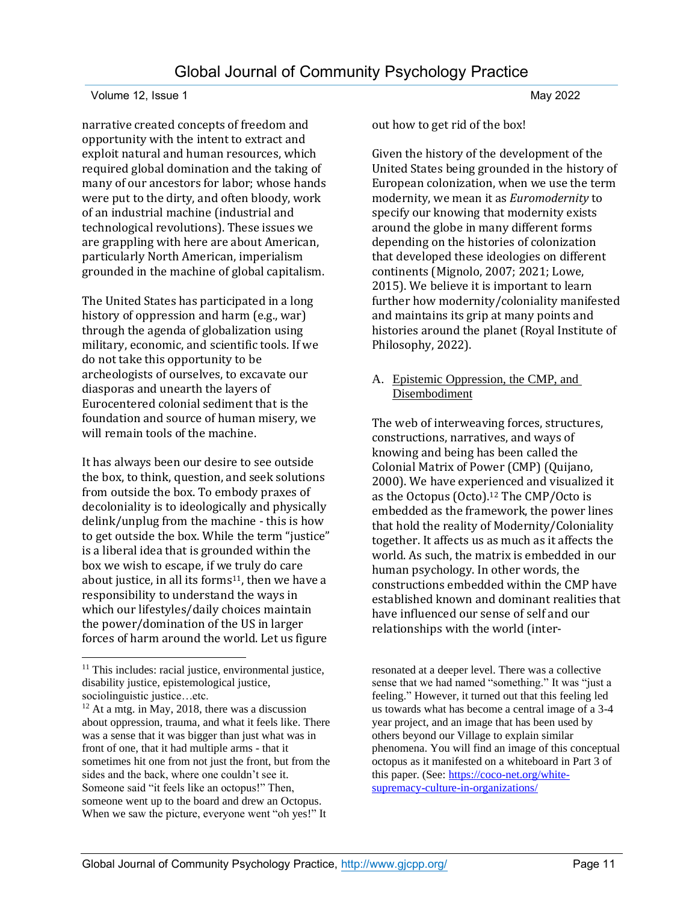narrative created concepts of freedom and opportunity with the intent to extract and exploit natural and human resources, which required global domination and the taking of many of our ancestors for labor; whose hands were put to the dirty, and often bloody, work of an industrial machine (industrial and technological revolutions). These issues we are grappling with here are about American, particularly North American, imperialism grounded in the machine of global capitalism.

The United States has participated in a long history of oppression and harm (e.g., war) through the agenda of globalization using military, economic, and scientific tools. If we do not take this opportunity to be archeologists of ourselves, to excavate our diasporas and unearth the layers of Eurocentered colonial sediment that is the foundation and source of human misery, we will remain tools of the machine.

It has always been our desire to see outside the box, to think, question, and seek solutions from outside the box. To embody praxes of decoloniality is to ideologically and physically delink/unplug from the machine - this is how to get outside the box. While the term "justice" is a liberal idea that is grounded within the box we wish to escape, if we truly do care about justice, in all its forms<sup>11</sup>, then we have a responsibility to understand the ways in which our lifestyles/daily choices maintain the power/domination of the US in larger forces of harm around the world. Let us figure

out how to get rid of the box!

Given the history of the development of the United States being grounded in the history of European colonization, when we use the term modernity, we mean it as *Euromodernity* to specify our knowing that modernity exists around the globe in many different forms depending on the histories of colonization that developed these ideologies on different continents (Mignolo, 2007; 2021; Lowe, 2015). We believe it is important to learn further how modernity/coloniality manifested and maintains its grip at many points and histories around the planet (Royal Institute of Philosophy, 2022).

A. Epistemic Oppression, the CMP, and Disembodiment

The web of interweaving forces, structures, constructions, narratives, and ways of knowing and being has been called the Colonial Matrix of Power (CMP) (Quijano, 2000). We have experienced and visualized it as the Octopus (Octo).<sup>12</sup> The CMP/Octo is embedded as the framework, the power lines that hold the reality of Modernity/Coloniality together. It affects us as much as it affects the world. As such, the matrix is embedded in our human psychology. In other words, the constructions embedded within the CMP have established known and dominant realities that have influenced our sense of self and our relationships with the world (inter-

resonated at a deeper level. There was a collective sense that we had named "something." It was "just a feeling." However, it turned out that this feeling led us towards what has become a central image of a 3-4 year project, and an image that has been used by others beyond our Village to explain similar phenomena. You will find an image of this conceptual octopus as it manifested on a whiteboard in Part 3 of this paper. (See[: https://coco-net.org/white](https://coco-net.org/white-supremacy-culture-in-organizations/)[supremacy-culture-in-organizations/](https://coco-net.org/white-supremacy-culture-in-organizations/)

<sup>&</sup>lt;sup>11</sup> This includes: racial justice, environmental justice, disability justice, epistemological justice, sociolinguistic justice…etc.

 $12$  At a mtg. in May, 2018, there was a discussion about oppression, trauma, and what it feels like. There was a sense that it was bigger than just what was in front of one, that it had multiple arms - that it sometimes hit one from not just the front, but from the sides and the back, where one couldn't see it. Someone said "it feels like an octopus!" Then, someone went up to the board and drew an Octopus. When we saw the picture, everyone went "oh yes!" It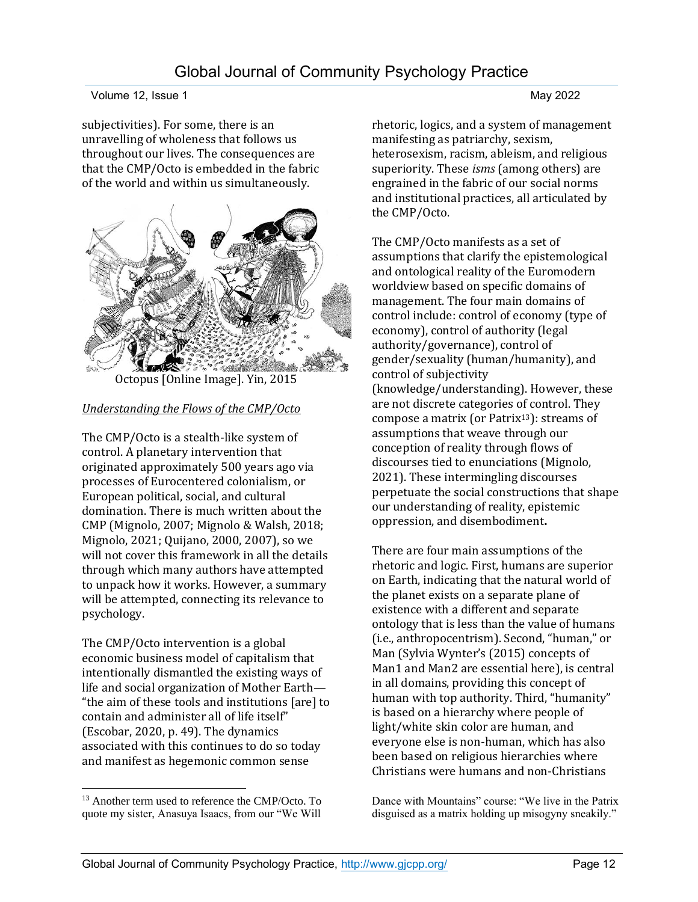Volume 12, Issue 1 May 2022

subjectivities). For some, there is an unravelling of wholeness that follows us throughout our lives. The consequences are that the CMP/Octo is embedded in the fabric of the world and within us simultaneously.



### *Understanding the Flows of the CMP/Octo*

The CMP/Octo is a stealth-like system of control. A planetary intervention that originated approximately 500 years ago via processes of Eurocentered colonialism, or European political, social, and cultural domination. There is much written about the CMP (Mignolo, 2007; Mignolo & Walsh, 2018; Mignolo, 2021; Quijano, 2000, 2007), so we will not cover this framework in all the details through which many authors have attempted to unpack how it works. However, a summary will be attempted, connecting its relevance to psychology.

The CMP/Octo intervention is a global economic business model of capitalism that intentionally dismantled the existing ways of life and social organization of Mother Earth— "the aim of these tools and institutions [are] to contain and administer all of life itself" (Escobar, 2020, p. 49). The dynamics associated with this continues to do so today and manifest as hegemonic common sense

rhetoric, logics, and a system of management manifesting as patriarchy, sexism, heterosexism, racism, ableism, and religious superiority. These *isms* (among others) are engrained in the fabric of our social norms and institutional practices, all articulated by the CMP/Octo.

The CMP/Octo manifests as a set of assumptions that clarify the epistemological and ontological reality of the Euromodern worldview based on specific domains of management. The four main domains of control include: control of economy (type of economy), control of authority (legal authority/governance), control of gender/sexuality (human/humanity), and control of subjectivity (knowledge/understanding). However, these are not discrete categories of control. They compose a matrix (or Patrix<sup>13</sup>): streams of assumptions that weave through our conception of reality through flows of discourses tied to enunciations (Mignolo, 2021). These intermingling discourses perpetuate the social constructions that shape our understanding of reality, epistemic oppression, and disembodiment**.**

There are four main assumptions of the rhetoric and logic. First, humans are superior on Earth, indicating that the natural world of the planet exists on a separate plane of existence with a different and separate ontology that is less than the value of humans (i.e., anthropocentrism). Second, "human," or Man (Sylvia Wynter's (2015) concepts of Man1 and Man2 are essential here), is central in all domains, providing this concept of human with top authority. Third, "humanity" is based on a hierarchy where people of light/white skin color are human, and everyone else is non-human, which has also been based on religious hierarchies where Christians were humans and non-Christians

Dance with Mountains" course: "We live in the Patrix disguised as a matrix holding up misogyny sneakily."

<sup>13</sup> Another term used to reference the CMP/Octo. To quote my sister, Anasuya Isaacs, from our "We Will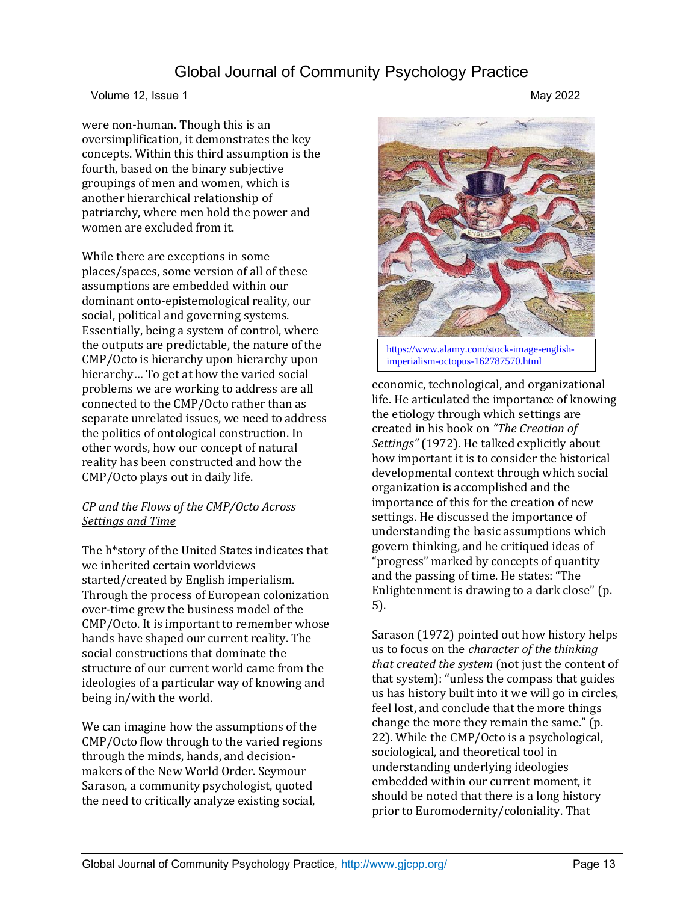#### Volume 12, Issue 1 May 2022

were non-human. Though this is an oversimplification, it demonstrates the key concepts. Within this third assumption is the fourth, based on the binary subjective groupings of men and women, which is another hierarchical relationship of patriarchy, where men hold the power and women are excluded from it.

While there are exceptions in some places/spaces, some version of all of these assumptions are embedded within our dominant onto-epistemological reality, our social, political and governing systems. Essentially, being a system of control, where the outputs are predictable, the nature of the CMP/Octo is hierarchy upon hierarchy upon hierarchy… To get at how the varied social problems we are working to address are all connected to the CMP/Octo rather than as separate unrelated issues, we need to address the politics of ontological construction. In other words, how our concept of natural reality has been constructed and how the CMP/Octo plays out in daily life.

### *CP and the Flows of the CMP/Octo Across Settings and Time*

The h\*story of the United States indicates that we inherited certain worldviews started/created by English imperialism. Through the process of European colonization over-time grew the business model of the CMP/Octo. It is important to remember whose hands have shaped our current reality. The social constructions that dominate the structure of our current world came from the ideologies of a particular way of knowing and being in/with the world.

We can imagine how the assumptions of the CMP/Octo flow through to the varied regions through the minds, hands, and decisionmakers of the New World Order. Seymour Sarason, a community psychologist, quoted the need to critically analyze existing social,



economic, technological, and organizational life. He articulated the importance of knowing the etiology through which settings are created in his book on *"The Creation of Settings"* (1972). He talked explicitly about how important it is to consider the historical developmental context through which social organization is accomplished and the importance of this for the creation of new settings. He discussed the importance of understanding the basic assumptions which govern thinking, and he critiqued ideas of "progress" marked by concepts of quantity and the passing of time. He states: "The Enlightenment is drawing to a dark close" (p. 5).

Sarason (1972) pointed out how history helps us to focus on the *character of the thinking that created the system* (not just the content of that system): "unless the compass that guides us has history built into it we will go in circles, feel lost, and conclude that the more things change the more they remain the same." (p. 22). While the CMP/Octo is a psychological, sociological, and theoretical tool in understanding underlying ideologies embedded within our current moment, it should be noted that there is a long history prior to Euromodernity/coloniality. That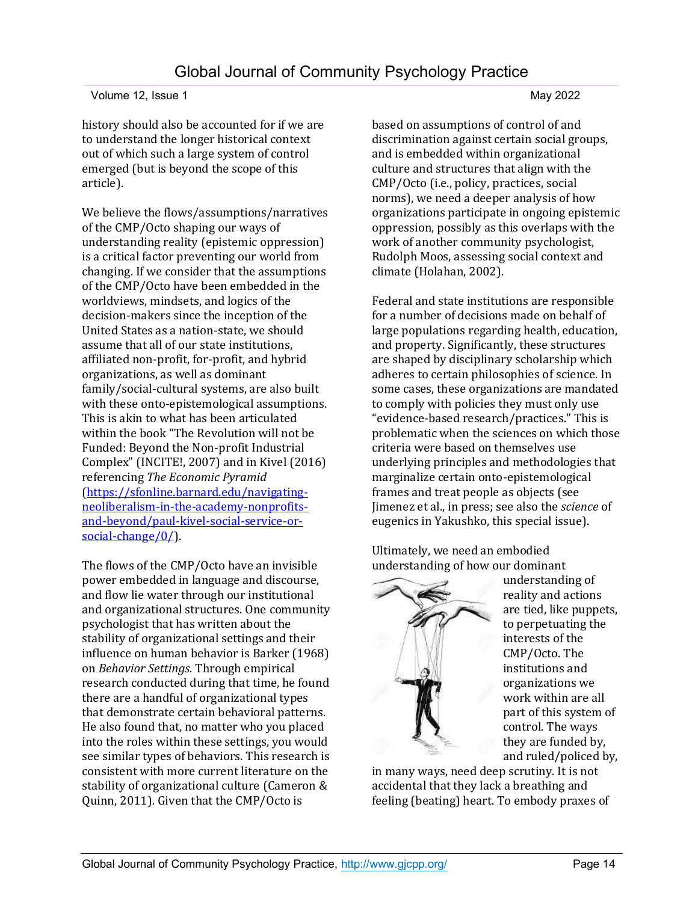history should also be accounted for if we are to understand the longer historical context out of which such a large system of control emerged (but is beyond the scope of this article).

We believe the flows/assumptions/narratives of the CMP/Octo shaping our ways of understanding reality (epistemic oppression) is a critical factor preventing our world from changing. If we consider that the assumptions of the CMP/Octo have been embedded in the worldviews, mindsets, and logics of the decision-makers since the inception of the United States as a nation-state, we should assume that all of our state institutions, affiliated non-profit, for-profit, and hybrid organizations, as well as dominant family/social-cultural systems, are also built with these onto-epistemological assumptions. This is akin to what has been articulated within the book "The Revolution will not be Funded: Beyond the Non-profit Industrial Complex" (INCITE!, 2007) and in Kivel (2016) referencing *The Economic Pyramid* [\(https://sfonline.barnard.edu/navigating](https://sfonline.barnard.edu/navigating-neoliberalism-in-the-academy-nonprofits-and-beyond/paul-kivel-social-service-or-social-change/0/)[neoliberalism-in-the-academy-nonprofits](https://sfonline.barnard.edu/navigating-neoliberalism-in-the-academy-nonprofits-and-beyond/paul-kivel-social-service-or-social-change/0/)[and-beyond/paul-kivel-social-service-or](https://sfonline.barnard.edu/navigating-neoliberalism-in-the-academy-nonprofits-and-beyond/paul-kivel-social-service-or-social-change/0/)[social-change/0/\)](https://sfonline.barnard.edu/navigating-neoliberalism-in-the-academy-nonprofits-and-beyond/paul-kivel-social-service-or-social-change/0/).

The flows of the CMP/Octo have an invisible power embedded in language and discourse, and flow lie water through our institutional and organizational structures. One community psychologist that has written about the stability of organizational settings and their influence on human behavior is Barker (1968) on *Behavior Settings*. Through empirical research conducted during that time, he found there are a handful of organizational types that demonstrate certain behavioral patterns. He also found that, no matter who you placed into the roles within these settings, you would see similar types of behaviors. This research is consistent with more current literature on the stability of organizational culture (Cameron & Quinn, 2011). Given that the CMP/Octo is

based on assumptions of control of and discrimination against certain social groups, and is embedded within organizational culture and structures that align with the CMP/Octo (i.e., policy, practices, social norms), we need a deeper analysis of how organizations participate in ongoing epistemic oppression, possibly as this overlaps with the work of another community psychologist, Rudolph Moos, assessing social context and climate (Holahan, 2002).

Federal and state institutions are responsible for a number of decisions made on behalf of large populations regarding health, education, and property. Significantly, these structures are shaped by disciplinary scholarship which adheres to certain philosophies of science. In some cases, these organizations are mandated to comply with policies they must only use "evidence-based research/practices." This is problematic when the sciences on which those criteria were based on themselves use underlying principles and methodologies that marginalize certain onto-epistemological frames and treat people as objects (see Jimenez et al., in press; see also the *science* of eugenics in Yakushko, this special issue).

Ultimately, we need an embodied understanding of how our dominant



understanding of reality and actions are tied, like puppets, to perpetuating the interests of the CMP/Octo. The institutions and organizations we work within are all part of this system of control. The ways they are funded by, and ruled/policed by,

in many ways, need deep scrutiny. It is not accidental that they lack a breathing and feeling (beating) heart. To embody praxes of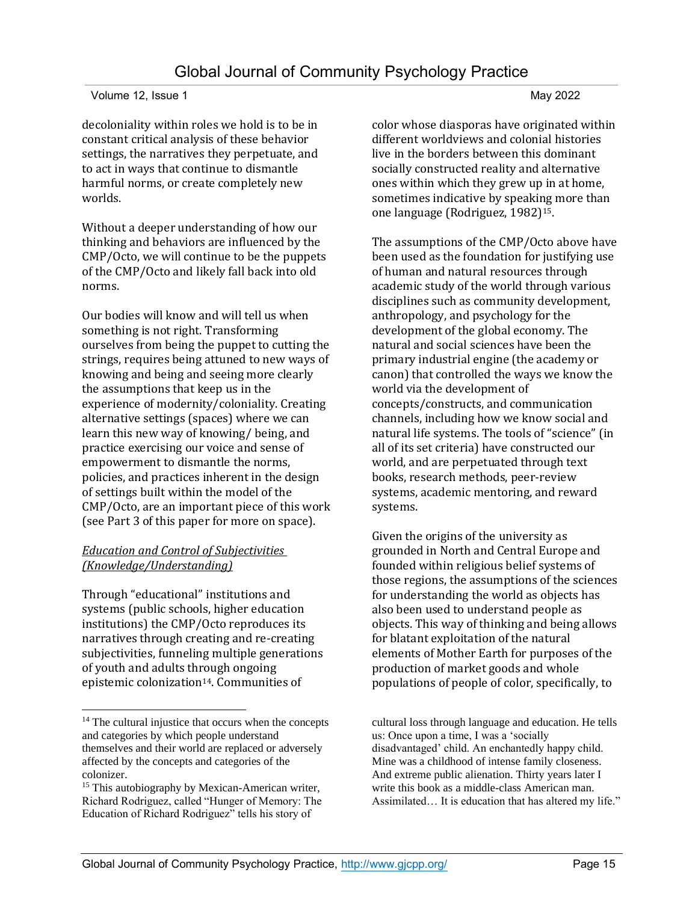decoloniality within roles we hold is to be in constant critical analysis of these behavior settings, the narratives they perpetuate, and to act in ways that continue to dismantle harmful norms, or create completely new worlds.

Without a deeper understanding of how our thinking and behaviors are influenced by the CMP/Octo, we will continue to be the puppets of the CMP/Octo and likely fall back into old norms.

Our bodies will know and will tell us when something is not right. Transforming ourselves from being the puppet to cutting the strings, requires being attuned to new ways of knowing and being and seeing more clearly the assumptions that keep us in the experience of modernity/coloniality. Creating alternative settings (spaces) where we can learn this new way of knowing/ being, and practice exercising our voice and sense of empowerment to dismantle the norms, policies, and practices inherent in the design of settings built within the model of the CMP/Octo, are an important piece of this work (see Part 3 of this paper for more on space).

### *Education and Control of Subjectivities (Knowledge/Understanding)*

Through "educational" institutions and systems (public schools, higher education institutions) the CMP/Octo reproduces its narratives through creating and re-creating subjectivities, funneling multiple generations of youth and adults through ongoing epistemic colonization14. Communities of

color whose diasporas have originated within different worldviews and colonial histories live in the borders between this dominant socially constructed reality and alternative ones within which they grew up in at home, sometimes indicative by speaking more than one language (Rodriguez, 1982)15.

The assumptions of the CMP/Octo above have been used as the foundation for justifying use of human and natural resources through academic study of the world through various disciplines such as community development, anthropology, and psychology for the development of the global economy. The natural and social sciences have been the primary industrial engine (the academy or canon) that controlled the ways we know the world via the development of concepts/constructs, and communication channels, including how we know social and natural life systems. The tools of "science" (in all of its set criteria) have constructed our world, and are perpetuated through text books, research methods, peer-review systems, academic mentoring, and reward systems.

Given the origins of the university as grounded in North and Central Europe and founded within religious belief systems of those regions, the assumptions of the sciences for understanding the world as objects has also been used to understand people as objects. This way of thinking and being allows for blatant exploitation of the natural elements of Mother Earth for purposes of the production of market goods and whole populations of people of color, specifically, to

<sup>&</sup>lt;sup>14</sup> The cultural injustice that occurs when the concepts and categories by which people understand themselves and their world are replaced or adversely affected by the concepts and categories of the colonizer.

<sup>&</sup>lt;sup>15</sup> This autobiography by Mexican-American writer, Richard Rodriguez, called "Hunger of Memory: The Education of Richard Rodriguez" tells his story of

cultural loss through language and education. He tells us: Once upon a time, I was a 'socially disadvantaged' child. An enchantedly happy child. Mine was a childhood of intense family closeness. And extreme public alienation. Thirty years later I write this book as a middle-class American man. Assimilated… It is education that has altered my life."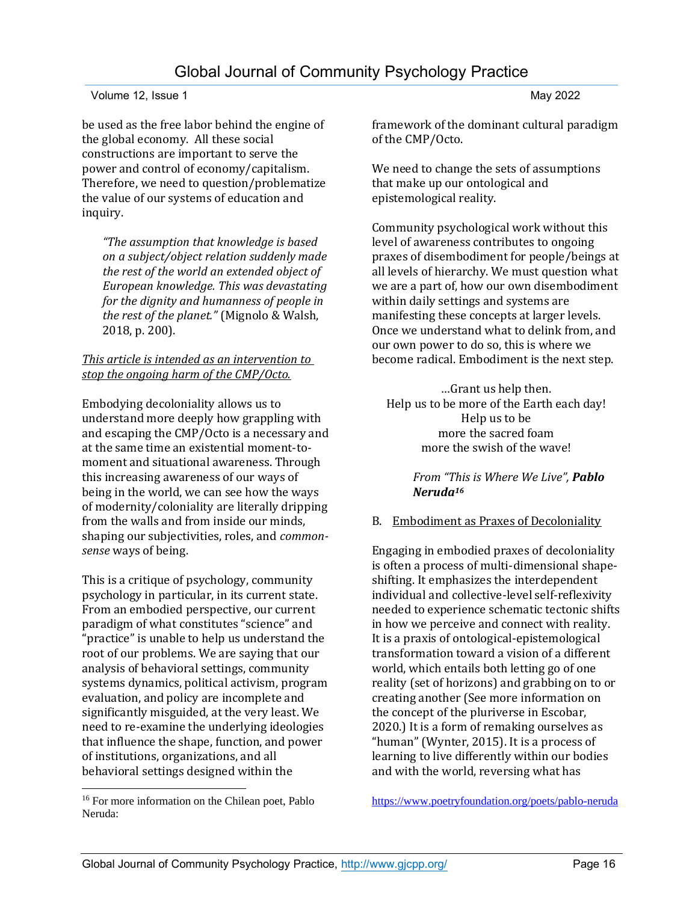#### Volume 12, Issue 1 May 2022

be used as the free labor behind the engine of the global economy. All these social constructions are important to serve the power and control of economy/capitalism. Therefore, we need to question/problematize the value of our systems of education and inquiry.

*"The assumption that knowledge is based on a subject/object relation suddenly made the rest of the world an extended object of European knowledge. This was devastating for the dignity and humanness of people in the rest of the planet."* (Mignolo & Walsh, 2018, p. 200).

#### *This article is intended as an intervention to stop the ongoing harm of the CMP/Octo.*

Embodying decoloniality allows us to understand more deeply how grappling with and escaping the CMP/Octo is a necessary and at the same time an existential moment-tomoment and situational awareness. Through this increasing awareness of our ways of being in the world, we can see how the ways of modernity/coloniality are literally dripping from the walls and from inside our minds, shaping our subjectivities, roles, and *commonsense* ways of being.

This is a critique of psychology, community psychology in particular, in its current state. From an embodied perspective, our current paradigm of what constitutes "science" and "practice" is unable to help us understand the root of our problems. We are saying that our analysis of behavioral settings, community systems dynamics, political activism, program evaluation, and policy are incomplete and significantly misguided, at the very least. We need to re-examine the underlying ideologies that influence the shape, function, and power of institutions, organizations, and all behavioral settings designed within the

framework of the dominant cultural paradigm of the CMP/Octo.

We need to change the sets of assumptions that make up our ontological and epistemological reality.

Community psychological work without this level of awareness contributes to ongoing praxes of disembodiment for people/beings at all levels of hierarchy. We must question what we are a part of, how our own disembodiment within daily settings and systems are manifesting these concepts at larger levels. Once we understand what to delink from, and our own power to do so, this is where we become radical. Embodiment is the next step.

…Grant us help then. Help us to be more of the Earth each day! Help us to be more the sacred foam more the swish of the wave!

> *From "This is Where We Live", Pablo Neruda<sup>16</sup>*

B. Embodiment as Praxes of Decoloniality

Engaging in embodied praxes of decoloniality is often a process of multi-dimensional shapeshifting. It emphasizes the interdependent individual and collective-level self-reflexivity needed to experience schematic tectonic shifts in how we perceive and connect with reality. It is a praxis of ontological-epistemological transformation toward a vision of a different world, which entails both letting go of one reality (set of horizons) and grabbing on to or creating another (See more information on the concept of the pluriverse in Escobar, 2020.) It is a form of remaking ourselves as "human" (Wynter, 2015). It is a process of learning to live differently within our bodies and with the world, reversing what has

<https://www.poetryfoundation.org/poets/pablo-neruda>

<sup>&</sup>lt;sup>16</sup> For more information on the Chilean poet, Pablo Neruda: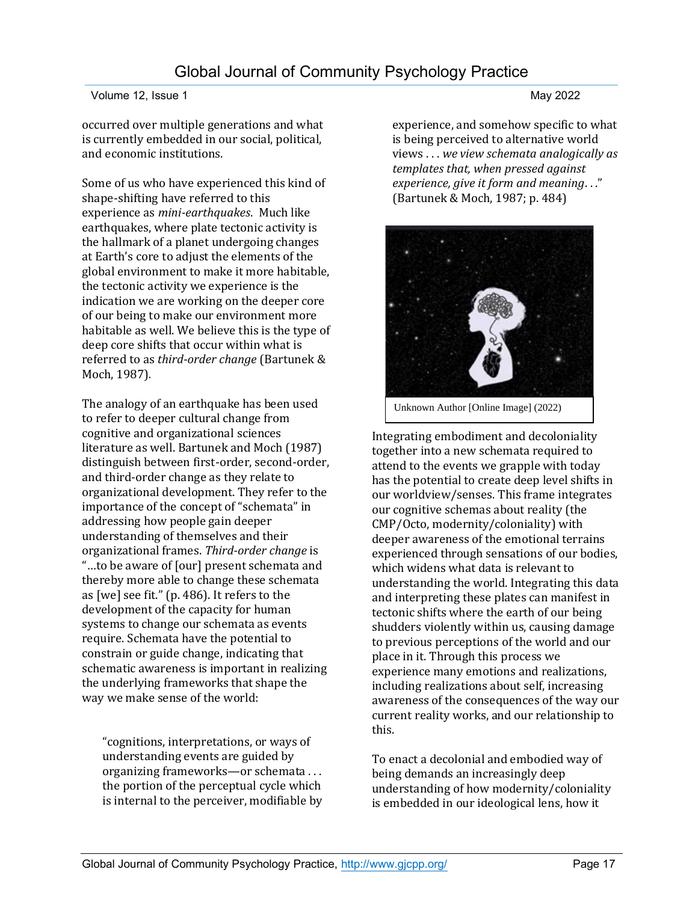#### Volume 12, Issue 1 May 2022

occurred over multiple generations and what is currently embedded in our social, political, and economic institutions.

Some of us who have experienced this kind of shape-shifting have referred to this experience as *mini-earthquakes*. Much like earthquakes, where plate tectonic activity is the hallmark of a planet undergoing changes at Earth's core to adjust the elements of the global environment to make it more habitable, the tectonic activity we experience is the indication we are working on the deeper core of our being to make our environment more habitable as well. We believe this is the type of deep core shifts that occur within what is referred to as *third-order change* (Bartunek & Moch, 1987)*.*

The analogy of an earthquake has been used to refer to deeper cultural change from cognitive and organizational sciences literature as well. Bartunek and Moch (1987) distinguish between first-order, second-order, and third-order change as they relate to organizational development. They refer to the importance of the concept of "schemata" in addressing how people gain deeper understanding of themselves and their organizational frames. *Third-order change* is "…to be aware of [our] present schemata and thereby more able to change these schemata as [we] see fit." (p. 486). It refers to the development of the capacity for human systems to change our schemata as events require. Schemata have the potential to constrain or guide change, indicating that schematic awareness is important in realizing the underlying frameworks that shape the way we make sense of the world:

"cognitions, interpretations, or ways of understanding events are guided by organizing frameworks—or schemata . . . the portion of the perceptual cycle which is internal to the perceiver, modifiable by

experience, and somehow specific to what is being perceived to alternative world views . . . *we view schemata analogically as templates that, when pressed against experience, give it form and meaning*. . ." (Bartunek & Moch, 1987; p. 484)



Unknown Author [Online Image] (2022)

Integrating embodiment and decoloniality together into a new schemata required to attend to the events we grapple with today has the potential to create deep level shifts in our worldview/senses. This frame integrates our cognitive schemas about reality (the CMP/Octo, modernity/coloniality) with deeper awareness of the emotional terrains experienced through sensations of our bodies, which widens what data is relevant to understanding the world. Integrating this data and interpreting these plates can manifest in tectonic shifts where the earth of our being shudders violently within us, causing damage to previous perceptions of the world and our place in it. Through this process we experience many emotions and realizations, including realizations about self, increasing awareness of the consequences of the way our current reality works, and our relationship to this.

To enact a decolonial and embodied way of being demands an increasingly deep understanding of how modernity/coloniality is embedded in our ideological lens, how it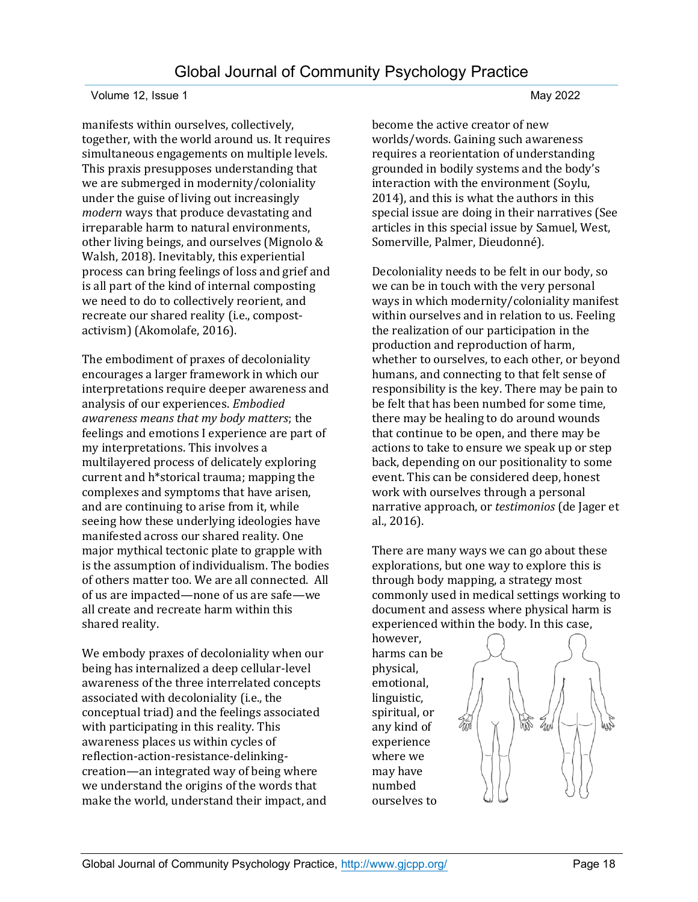manifests within ourselves, collectively, together, with the world around us. It requires simultaneous engagements on multiple levels. This praxis presupposes understanding that we are submerged in modernity/coloniality under the guise of living out increasingly *modern* ways that produce devastating and irreparable harm to natural environments, other living beings, and ourselves (Mignolo & Walsh, 2018). Inevitably, this experiential process can bring feelings of loss and grief and is all part of the kind of internal composting we need to do to collectively reorient, and recreate our shared reality (i.e., compostactivism) (Akomolafe, 2016).

The embodiment of praxes of decoloniality encourages a larger framework in which our interpretations require deeper awareness and analysis of our experiences. *Embodied awareness means that my body matters*; the feelings and emotions I experience are part of my interpretations. This involves a multilayered process of delicately exploring current and h\*storical trauma; mapping the complexes and symptoms that have arisen, and are continuing to arise from it, while seeing how these underlying ideologies have manifested across our shared reality. One major mythical tectonic plate to grapple with is the assumption of individualism. The bodies of others matter too. We are all connected. All of us are impacted—none of us are safe—we all create and recreate harm within this shared reality.

We embody praxes of decoloniality when our being has internalized a deep cellular-level awareness of the three interrelated concepts associated with decoloniality (i.e., the conceptual triad) and the feelings associated with participating in this reality. This awareness places us within cycles of reflection-action-resistance-delinkingcreation—an integrated way of being where we understand the origins of the words that make the world, understand their impact, and

become the active creator of new worlds/words. Gaining such awareness requires a reorientation of understanding grounded in bodily systems and the body's interaction with the environment (Soylu, 2014), and this is what the authors in this special issue are doing in their narratives (See articles in this special issue by Samuel, West, Somerville, Palmer, Dieudonné).

Decoloniality needs to be felt in our body, so we can be in touch with the very personal ways in which modernity/coloniality manifest within ourselves and in relation to us. Feeling the realization of our participation in the production and reproduction of harm, whether to ourselves, to each other, or beyond humans, and connecting to that felt sense of responsibility is the key. There may be pain to be felt that has been numbed for some time, there may be healing to do around wounds that continue to be open, and there may be actions to take to ensure we speak up or step back, depending on our positionality to some event. This can be considered deep, honest work with ourselves through a personal narrative approach, or *testimonios* (de Jager et al., 2016).

There are many ways we can go about these explorations, but one way to explore this is through body mapping, a strategy most commonly used in medical settings working to document and assess where physical harm is experienced within the body. In this case,

however, harms can be physical, emotional, linguistic, spiritual, or any kind of experience where we may have numbed ourselves to

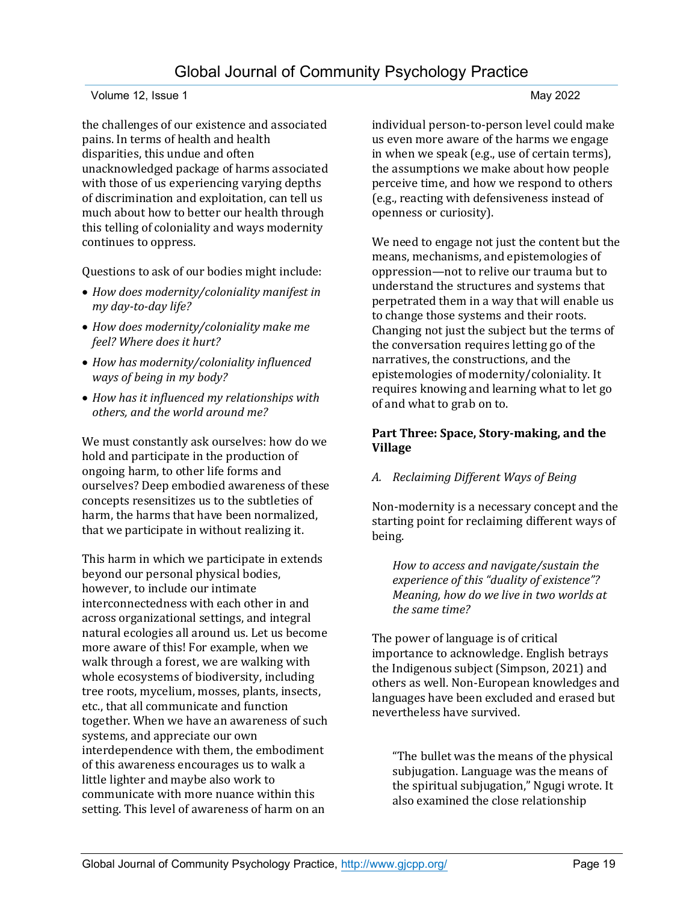the challenges of our existence and associated pains. In terms of health and health disparities, this undue and often unacknowledged package of harms associated with those of us experiencing varying depths of discrimination and exploitation, can tell us much about how to better our health through this telling of coloniality and ways modernity continues to oppress.

Questions to ask of our bodies might include:

- *How does modernity/coloniality manifest in my day-to-day life?*
- *How does modernity/coloniality make me feel? Where does it hurt?*
- *How has modernity/coloniality influenced ways of being in my body?*
- *How has it influenced my relationships with others, and the world around me?*

We must constantly ask ourselves: how do we hold and participate in the production of ongoing harm, to other life forms and ourselves? Deep embodied awareness of these concepts resensitizes us to the subtleties of harm, the harms that have been normalized, that we participate in without realizing it.

This harm in which we participate in extends beyond our personal physical bodies, however, to include our intimate interconnectedness with each other in and across organizational settings, and integral natural ecologies all around us. Let us become more aware of this! For example, when we walk through a forest, we are walking with whole ecosystems of biodiversity, including tree roots, mycelium, mosses, plants, insects, etc., that all communicate and function together. When we have an awareness of such systems, and appreciate our own interdependence with them, the embodiment of this awareness encourages us to walk a little lighter and maybe also work to communicate with more nuance within this setting. This level of awareness of harm on an

individual person-to-person level could make us even more aware of the harms we engage in when we speak (e.g., use of certain terms), the assumptions we make about how people perceive time, and how we respond to others (e.g., reacting with defensiveness instead of openness or curiosity).

We need to engage not just the content but the means, mechanisms, and epistemologies of oppression—not to relive our trauma but to understand the structures and systems that perpetrated them in a way that will enable us to change those systems and their roots. Changing not just the subject but the terms of the conversation requires letting go of the narratives, the constructions, and the epistemologies of modernity/coloniality. It requires knowing and learning what to let go of and what to grab on to.

## **Part Three: Space, Story-making, and the Village**

## *A. Reclaiming Different Ways of Being*

Non-modernity is a necessary concept and the starting point for reclaiming different ways of being.

*How to access and navigate/sustain the experience of this "duality of existence"? Meaning, how do we live in two worlds at the same time?* 

The power of language is of critical importance to acknowledge. English betrays the Indigenous subject (Simpson, 2021) and others as well. Non-European knowledges and languages have been excluded and erased but nevertheless have survived.

"The bullet was the means of the physical subjugation. Language was the means of the spiritual subjugation," Ngugi wrote. It also examined the close relationship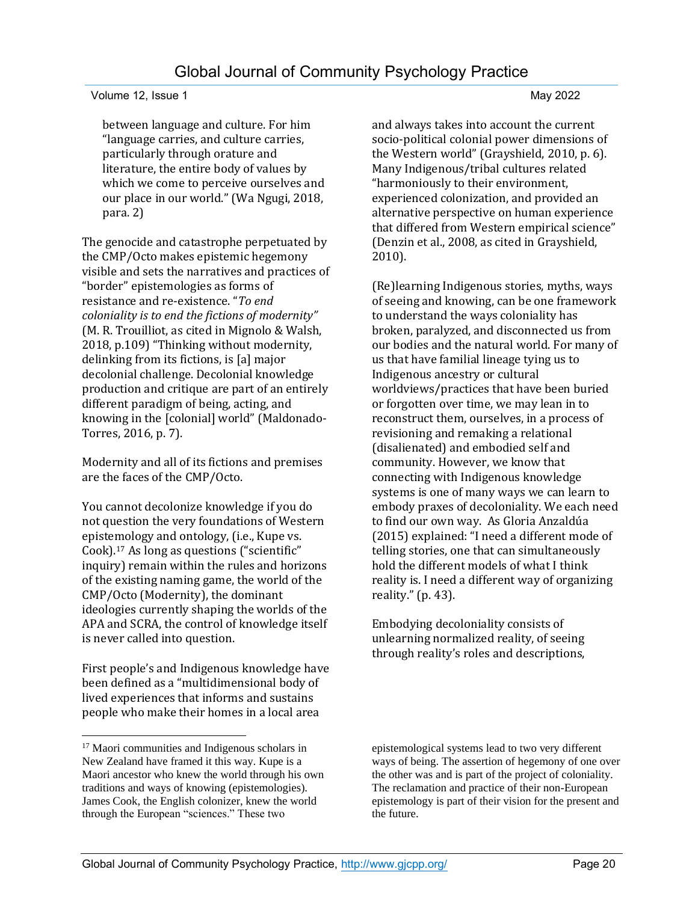between language and culture. For him "language carries, and culture carries, particularly through orature and literature, the entire body of values by which we come to perceive ourselves and our place in our world." (Wa Ngugi, 2018, para. 2)

The genocide and catastrophe perpetuated by the CMP/Octo makes epistemic hegemony visible and sets the narratives and practices of "border" epistemologies as forms of resistance and re-existence. "*To end coloniality is to end the fictions of modernity"*  (M. R. Trouilliot, as cited in Mignolo & Walsh, 2018, p.109) "Thinking without modernity, delinking from its fictions, is [a] major decolonial challenge. Decolonial knowledge production and critique are part of an entirely different paradigm of being, acting, and knowing in the [colonial] world" (Maldonado-Torres, 2016, p. 7).

Modernity and all of its fictions and premises are the faces of the CMP/Octo.

You cannot decolonize knowledge if you do not question the very foundations of Western epistemology and ontology, (i.e., Kupe vs. Cook).<sup>17</sup> As long as questions ("scientific" inquiry) remain within the rules and horizons of the existing naming game, the world of the CMP/Octo (Modernity), the dominant ideologies currently shaping the worlds of the APA and SCRA, the control of knowledge itself is never called into question.

First people's and Indigenous knowledge have been defined as a "multidimensional body of lived experiences that informs and sustains people who make their homes in a local area

and always takes into account the current socio-political colonial power dimensions of the Western world" (Grayshield, 2010, p. 6). Many Indigenous/tribal cultures related "harmoniously to their environment, experienced colonization, and provided an alternative perspective on human experience that differed from Western empirical science" (Denzin et al., 2008, as cited in Grayshield, 2010).

(Re)learning Indigenous stories, myths, ways of seeing and knowing, can be one framework to understand the ways coloniality has broken, paralyzed, and disconnected us from our bodies and the natural world. For many of us that have familial lineage tying us to Indigenous ancestry or cultural worldviews/practices that have been buried or forgotten over time, we may lean in to reconstruct them, ourselves, in a process of revisioning and remaking a relational (disalienated) and embodied self and community. However, we know that connecting with Indigenous knowledge systems is one of many ways we can learn to embody praxes of decoloniality. We each need to find our own way. As Gloria Anzaldúa (2015) explained: "I need a different mode of telling stories, one that can simultaneously hold the different models of what I think reality is. I need a different way of organizing reality." (p. 43).

Embodying decoloniality consists of unlearning normalized reality, of seeing through reality's roles and descriptions,

<sup>&</sup>lt;sup>17</sup> Maori communities and Indigenous scholars in New Zealand have framed it this way. Kupe is a Maori ancestor who knew the world through his own traditions and ways of knowing (epistemologies). James Cook, the English colonizer, knew the world through the European "sciences." These two

epistemological systems lead to two very different ways of being. The assertion of hegemony of one over the other was and is part of the project of coloniality. The reclamation and practice of their non-European epistemology is part of their vision for the present and the future.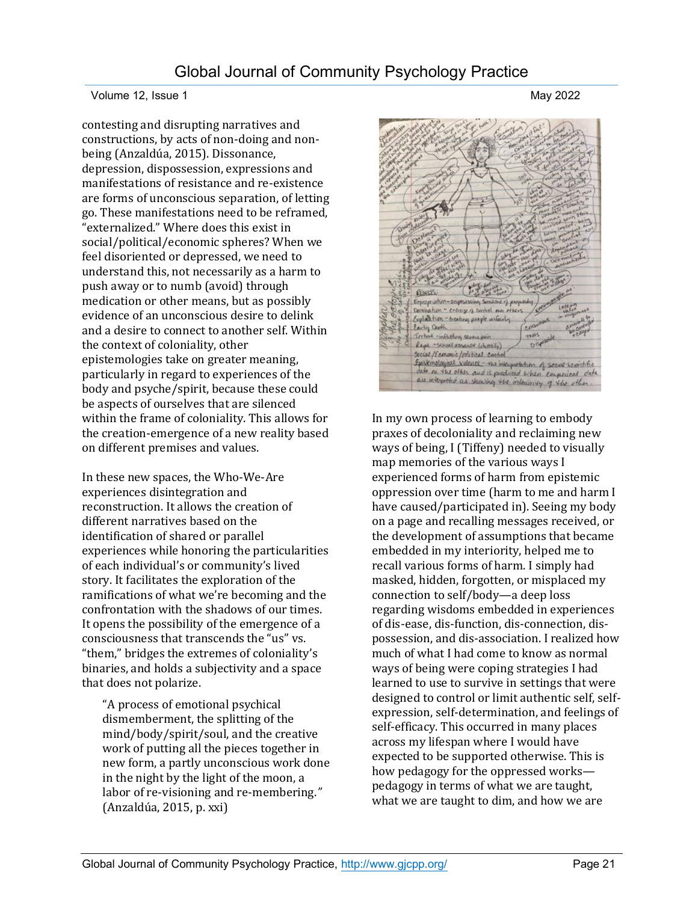contesting and disrupting narratives and constructions, by acts of non-doing and nonbeing (Anzaldúa, 2015). Dissonance, depression, dispossession, expressions and manifestations of resistance and re-existence are forms of unconscious separation, of letting go. These manifestations need to be reframed, "externalized." Where does this exist in social/political/economic spheres? When we feel disoriented or depressed, we need to understand this, not necessarily as a harm to push away or to numb (avoid) through medication or other means, but as possibly evidence of an unconscious desire to delink and a desire to connect to another self. Within the context of coloniality, other epistemologies take on greater meaning, particularly in regard to experiences of the body and psyche/spirit, because these could be aspects of ourselves that are silenced within the frame of coloniality. This allows for the creation-emergence of a new reality based on different premises and values.

In these new spaces, the Who-We-Are experiences disintegration and reconstruction. It allows the creation of different narratives based on the identification of shared or parallel experiences while honoring the particularities of each individual's or community's lived story. It facilitates the exploration of the ramifications of what we're becoming and the confrontation with the shadows of our times. It opens the possibility of the emergence of a consciousness that transcends the "us" vs. "them," bridges the extremes of coloniality's binaries, and holds a subjectivity and a space that does not polarize.

"A process of emotional psychical dismemberment, the splitting of the mind/body/spirit/soul, and the creative work of putting all the pieces together in new form, a partly unconscious work done in the night by the light of the moon, a labor of re-visioning and re-membering.*"* (Anzaldúa, 2015, p. xxi)



In my own process of learning to embody praxes of decoloniality and reclaiming new ways of being, I (Tiffeny) needed to visually map memories of the various ways I experienced forms of harm from epistemic oppression over time (harm to me and harm I have caused/participated in). Seeing my body on a page and recalling messages received, or the development of assumptions that became embedded in my interiority, helped me to recall various forms of harm. I simply had masked, hidden, forgotten, or misplaced my connection to self/body—a deep loss regarding wisdoms embedded in experiences of dis-ease, dis-function, dis-connection, dispossession, and dis-association. I realized how much of what I had come to know as normal ways of being were coping strategies I had learned to use to survive in settings that were designed to control or limit authentic self, selfexpression, self-determination, and feelings of self-efficacy. This occurred in many places across my lifespan where I would have expected to be supported otherwise. This is how pedagogy for the oppressed works pedagogy in terms of what we are taught, what we are taught to dim, and how we are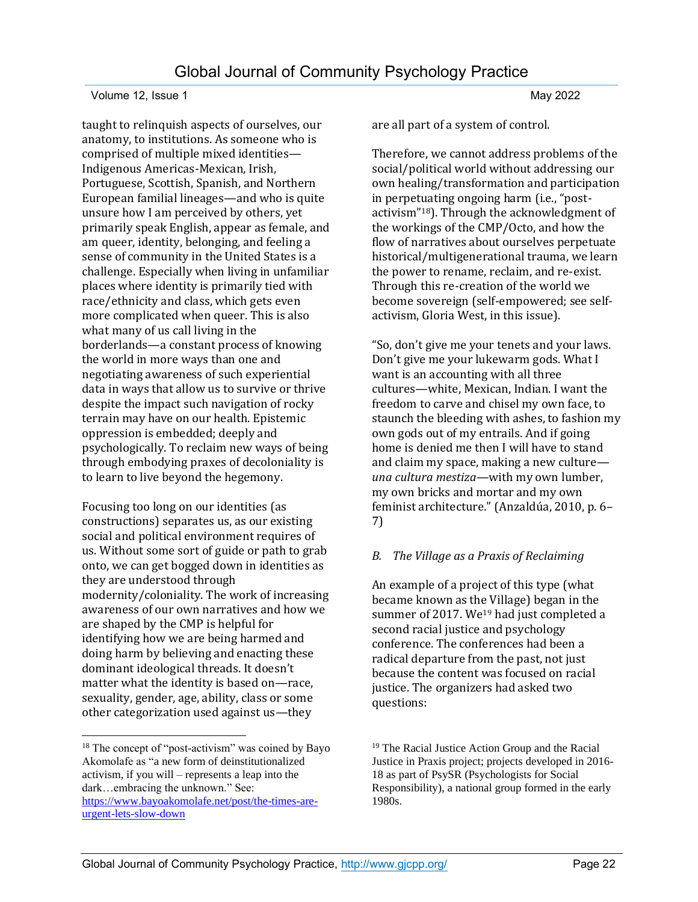taught to relinquish aspects of ourselves, our anatomy, to institutions. As someone who is comprised of multiple mixed identities— Indigenous Americas-Mexican, Irish, Portuguese, Scottish, Spanish, and Northern European familial lineages—and who is quite unsure how I am perceived by others, yet primarily speak English, appear as female, and am queer, identity, belonging, and feeling a sense of community in the United States is a challenge. Especially when living in unfamiliar places where identity is primarily tied with race/ethnicity and class, which gets even more complicated when queer. This is also what many of us call living in the borderlands—a constant process of knowing the world in more ways than one and negotiating awareness of such experiential data in ways that allow us to survive or thrive despite the impact such navigation of rocky terrain may have on our health. Epistemic oppression is embedded; deeply and psychologically. To reclaim new ways of being through embodying praxes of decoloniality is to learn to live beyond the hegemony.

Focusing too long on our identities (as constructions) separates us, as our existing social and political environment requires of us. Without some sort of guide or path to grab onto, we can get bogged down in identities as they are understood through modernity/coloniality. The work of increasing awareness of our own narratives and how we are shaped by the CMP is helpful for identifying how we are being harmed and doing harm by believing and enacting these dominant ideological threads. It doesn't matter what the identity is based on—race, sexuality, gender, age, ability, class or some other categorization used against us—they

are all part of a system of control.

Therefore, we cannot address problems of the social/political world without addressing our own healing/transformation and participation in perpetuating ongoing harm (i.e., "postactivism"18). Through the acknowledgment of the workings of the CMP/Octo, and how the flow of narratives about ourselves perpetuate historical/multigenerational trauma, we learn the power to rename, reclaim, and re-exist. Through this re-creation of the world we become sovereign (self-empowered; see selfactivism, Gloria West, in this issue).

"So, don't give me your tenets and your laws. Don't give me your lukewarm gods. What I want is an accounting with all three cultures—white, Mexican, Indian. I want the freedom to carve and chisel my own face, to staunch the bleeding with ashes, to fashion my own gods out of my entrails. And if going home is denied me then I will have to stand and claim my space, making a new culture *una cultura mestiza*—with my own lumber, my own bricks and mortar and my own feminist architecture." (Anzaldúa, 2010, p. 6– 7)

#### *B. The Village as a Praxis of Reclaiming*

An example of a project of this type (what became known as the Village) began in the summer of 2017. We<sup>19</sup> had just completed a second racial justice and psychology conference. The conferences had been a radical departure from the past, not just because the content was focused on racial justice. The organizers had asked two questions:

<sup>&</sup>lt;sup>18</sup> The concept of "post-activism" was coined by Bayo Akomolafe as "a new form of deinstitutionalized activism, if you will – represents a leap into the dark…embracing the unknown." See: [https://www.bayoakomolafe.net/post/the-times-are](https://www.bayoakomolafe.net/post/the-times-are-urgent-lets-slow-down)[urgent-lets-slow-down](https://www.bayoakomolafe.net/post/the-times-are-urgent-lets-slow-down) 

<sup>19</sup> The Racial Justice Action Group and the Racial Justice in Praxis project; projects developed in 2016- 18 as part of PsySR (Psychologists for Social Responsibility), a national group formed in the early 1980s.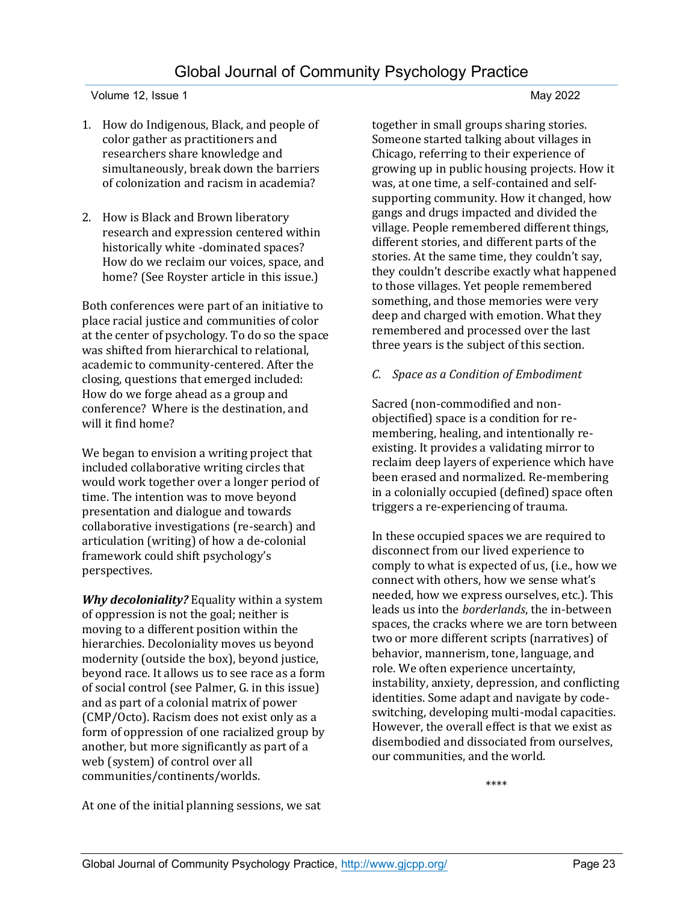Volume 12, Issue 1 May 2022

- 1. How do Indigenous, Black, and people of color gather as practitioners and researchers share knowledge and simultaneously, break down the barriers of colonization and racism in academia?
- 2. How is Black and Brown liberatory research and expression centered within historically white -dominated spaces? How do we reclaim our voices, space, and home? (See Royster article in this issue.)

Both conferences were part of an initiative to place racial justice and communities of color at the center of psychology. To do so the space was shifted from hierarchical to relational, academic to community-centered. After the closing, questions that emerged included: How do we forge ahead as a group and conference? Where is the destination, and will it find home?

We began to envision a writing project that included collaborative writing circles that would work together over a longer period of time. The intention was to move beyond presentation and dialogue and towards collaborative investigations (re-search) and articulation (writing) of how a de-colonial framework could shift psychology's perspectives.

*Why decoloniality?* Equality within a system of oppression is not the goal; neither is moving to a different position within the hierarchies. Decoloniality moves us beyond modernity (outside the box), beyond justice, beyond race. It allows us to see race as a form of social control (see Palmer, G. in this issue) and as part of a colonial matrix of power (CMP/Octo). Racism does not exist only as a form of oppression of one racialized group by another, but more significantly as part of a web (system) of control over all communities/continents/worlds.

At one of the initial planning sessions, we sat

together in small groups sharing stories. Someone started talking about villages in Chicago, referring to their experience of growing up in public housing projects. How it was, at one time, a self-contained and selfsupporting community. How it changed, how gangs and drugs impacted and divided the village. People remembered different things, different stories, and different parts of the stories. At the same time, they couldn't say, they couldn't describe exactly what happened to those villages. Yet people remembered something, and those memories were very deep and charged with emotion. What they remembered and processed over the last three years is the subject of this section.

#### *C. Space as a Condition of Embodiment*

Sacred (non-commodified and nonobjectified) space is a condition for remembering, healing, and intentionally reexisting. It provides a validating mirror to reclaim deep layers of experience which have been erased and normalized. Re-membering in a colonially occupied (defined) space often triggers a re-experiencing of trauma.

In these occupied spaces we are required to disconnect from our lived experience to comply to what is expected of us, (i.e., how we connect with others, how we sense what's needed, how we express ourselves, etc.). This leads us into the *borderlands*, the in-between spaces, the cracks where we are torn between two or more different scripts (narratives) of behavior, mannerism, tone, language, and role. We often experience uncertainty, instability, anxiety, depression, and conflicting identities. Some adapt and navigate by codeswitching, developing multi-modal capacities. However, the overall effect is that we exist as disembodied and dissociated from ourselves, our communities, and the world.

\*\*\*\*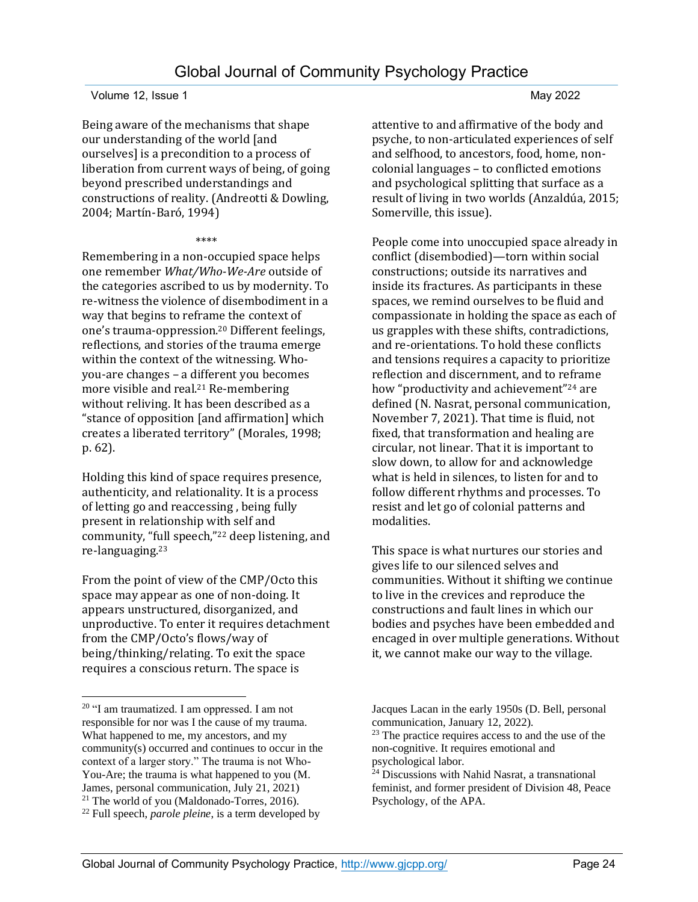Being aware of the mechanisms that shape our understanding of the world [and ourselves] is a precondition to a process of liberation from current ways of being, of going beyond prescribed understandings and constructions of reality. (Andreotti & Dowling, 2004; Martín-Baró, 1994)

\*\*\*\*

Remembering in a non-occupied space helps one remember *What/Who-We-Are* outside of the categories ascribed to us by modernity. To re-witness the violence of disembodiment in a way that begins to reframe the context of one's trauma-oppression.<sup>20</sup> Different feelings, reflections, and stories of the trauma emerge within the context of the witnessing. Whoyou-are changes – a different you becomes more visible and real.<sup>21</sup> Re-membering without reliving. It has been described as a "stance of opposition [and affirmation] which creates a liberated territory" (Morales, 1998; p. 62).

Holding this kind of space requires presence, authenticity, and relationality. It is a process of letting go and reaccessing , being fully present in relationship with self and community, "full speech,"<sup>22</sup> deep listening, and re-languaging.<sup>23</sup>

From the point of view of the CMP/Octo this space may appear as one of non-doing. It appears unstructured, disorganized, and unproductive. To enter it requires detachment from the CMP/Octo's flows/way of being/thinking/relating. To exit the space requires a conscious return. The space is

attentive to and affirmative of the body and psyche, to non-articulated experiences of self and selfhood, to ancestors, food, home, noncolonial languages – to conflicted emotions and psychological splitting that surface as a result of living in two worlds (Anzaldúa, 2015; Somerville, this issue).

People come into unoccupied space already in conflict (disembodied)—torn within social constructions; outside its narratives and inside its fractures. As participants in these spaces, we remind ourselves to be fluid and compassionate in holding the space as each of us grapples with these shifts, contradictions, and re-orientations. To hold these conflicts and tensions requires a capacity to prioritize reflection and discernment, and to reframe how "productivity and achievement"<sup>24</sup> are defined (N. Nasrat, personal communication, November 7, 2021). That time is fluid, not fixed, that transformation and healing are circular, not linear. That it is important to slow down, to allow for and acknowledge what is held in silences, to listen for and to follow different rhythms and processes. To resist and let go of colonial patterns and modalities.

This space is what nurtures our stories and gives life to our silenced selves and communities. Without it shifting we continue to live in the crevices and reproduce the constructions and fault lines in which our bodies and psyches have been embedded and encaged in over multiple generations. Without it, we cannot make our way to the village.

<sup>20</sup> "I am traumatized. I am oppressed. I am not responsible for nor was I the cause of my trauma. What happened to me, my ancestors, and my community(s) occurred and continues to occur in the context of a larger story." The trauma is not Who-You-Are; the trauma is what happened to you (M. James, personal communication, July 21, 2021) <sup>21</sup> The world of you (Maldonado-Torres, 2016).

<sup>22</sup> Full speech, *parole pleine*, is a term developed by

Jacques Lacan in the early 1950s (D. Bell, personal communication, January 12, 2022).

<sup>&</sup>lt;sup>23</sup> The practice requires access to and the use of the non-cognitive. It requires emotional and psychological labor.

 $24$  Discussions with Nahid Nasrat, a transnational feminist, and former president of Division 48, Peace Psychology, of the APA.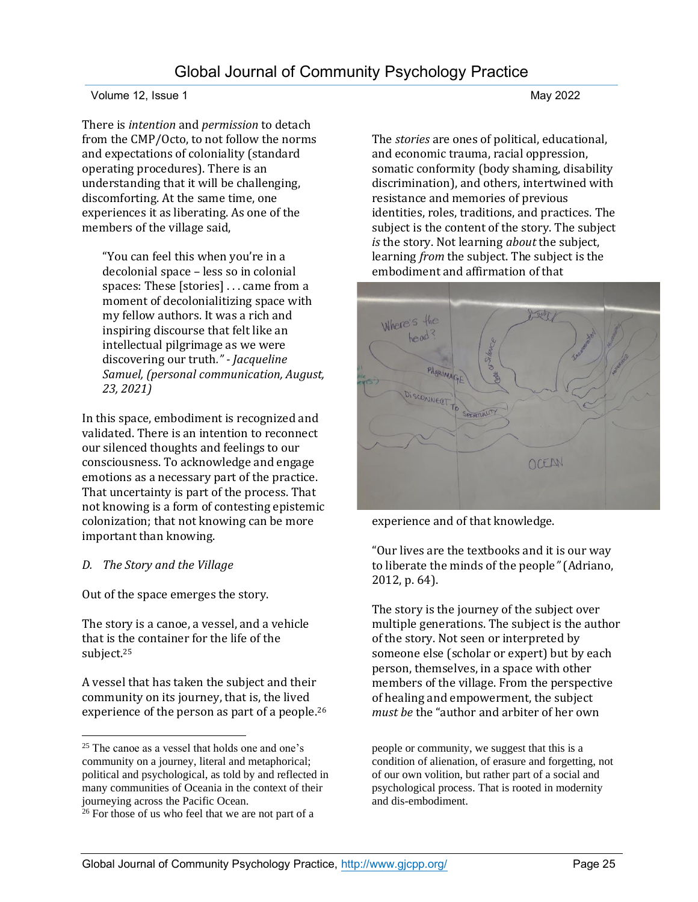There is *intention* and *permission* to detach from the CMP/Octo, to not follow the norms and expectations of coloniality (standard operating procedures). There is an understanding that it will be challenging, discomforting. At the same time, one experiences it as liberating. As one of the members of the village said,

"You can feel this when you're in a decolonial space – less so in colonial spaces: These [stories] . . . came from a moment of decolonialitizing space with my fellow authors. It was a rich and inspiring discourse that felt like an intellectual pilgrimage as we were discovering our truth*." - Jacqueline Samuel, (personal communication, August, 23, 2021)*

In this space, embodiment is recognized and validated. There is an intention to reconnect our silenced thoughts and feelings to our consciousness. To acknowledge and engage emotions as a necessary part of the practice. That uncertainty is part of the process. That not knowing is a form of contesting epistemic colonization; that not knowing can be more important than knowing.

## *D. The Story and the Village*

Out of the space emerges the story.

The story is a canoe, a vessel, and a vehicle that is the container for the life of the subject.<sup>25</sup>

A vessel that has taken the subject and their community on its journey, that is, the lived experience of the person as part of a people.<sup>26</sup> The *stories* are ones of political, educational, and economic trauma, racial oppression, somatic conformity (body shaming, disability discrimination), and others, intertwined with resistance and memories of previous identities, roles, traditions, and practices. The subject is the content of the story. The subject *is* the story. Not learning *about* the subject, learning *from* the subject. The subject is the embodiment and affirmation of that



experience and of that knowledge.

"Our lives are the textbooks and it is our way to liberate the minds of the people*"* (Adriano, 2012, p. 64).

The story is the journey of the subject over multiple generations. The subject is the author of the story. Not seen or interpreted by someone else (scholar or expert) but by each person, themselves, in a space with other members of the village. From the perspective of healing and empowerment, the subject *must be* the "author and arbiter of her own

<sup>&</sup>lt;sup>25</sup> The canoe as a vessel that holds one and one's community on a journey, literal and metaphorical; political and psychological, as told by and reflected in many communities of Oceania in the context of their journeying across the Pacific Ocean.

<sup>&</sup>lt;sup>26</sup> For those of us who feel that we are not part of a

people or community, we suggest that this is a condition of alienation, of erasure and forgetting, not of our own volition, but rather part of a social and psychological process. That is rooted in modernity and dis-embodiment.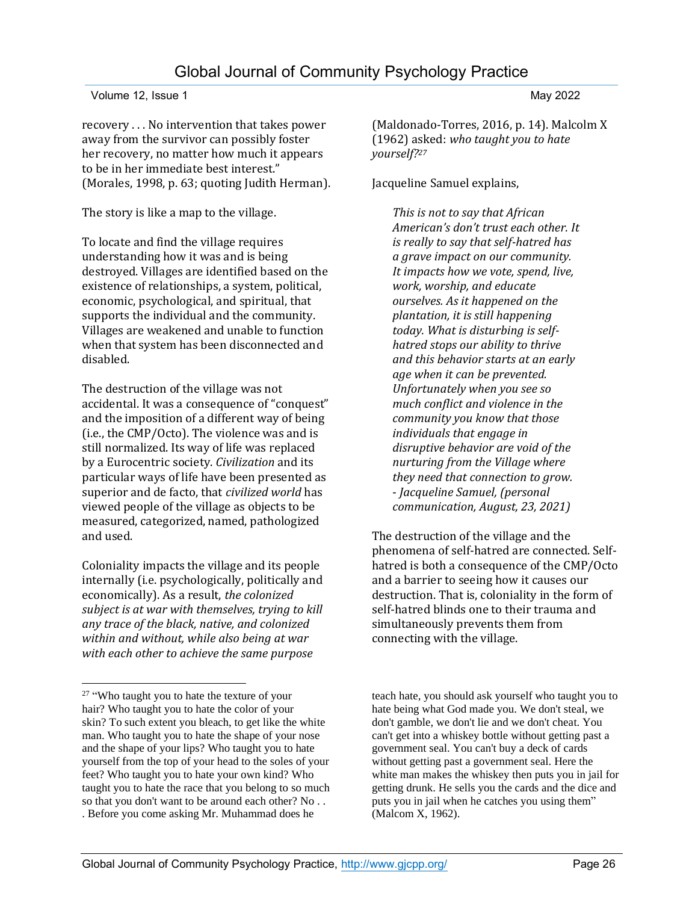Volume 12, Issue 1 May 2022

recovery . . . No intervention that takes power away from the survivor can possibly foster her recovery, no matter how much it appears to be in her immediate best interest." (Morales, 1998, p. 63; quoting Judith Herman).

The story is like a map to the village.

To locate and find the village requires understanding how it was and is being destroyed. Villages are identified based on the existence of relationships, a system, political, economic, psychological, and spiritual, that supports the individual and the community. Villages are weakened and unable to function when that system has been disconnected and disabled.

The destruction of the village was not accidental. It was a consequence of "conquest" and the imposition of a different way of being (i.e., the CMP/Octo). The violence was and is still normalized. Its way of life was replaced by a Eurocentric society. *Civilization* and its particular ways of life have been presented as superior and de facto, that *civilized world* has viewed people of the village as objects to be measured, categorized, named, pathologized and used.

Coloniality impacts the village and its people internally (i.e. psychologically, politically and economically). As a result, *the colonized subject is at war with themselves, trying to kill any trace of the black, native, and colonized within and without, while also being at war with each other to achieve the same purpose* 

(Maldonado-Torres, 2016, p. 14). Malcolm X (1962) asked: *who taught you to hate yourself?<sup>27</sup>*

Jacqueline Samuel explains,

*This is not to say that African American's don't trust each other. It is really to say that self-hatred has a grave impact on our community. It impacts how we vote, spend, live, work, worship, and educate ourselves. As it happened on the plantation, it is still happening today. What is disturbing is selfhatred stops our ability to thrive and this behavior starts at an early age when it can be prevented. Unfortunately when you see so much conflict and violence in the community you know that those individuals that engage in disruptive behavior are void of the nurturing from the Village where they need that connection to grow.* - *Jacqueline Samuel, (personal communication, August, 23, 2021)*

The destruction of the village and the phenomena of self-hatred are connected. Selfhatred is both a consequence of the CMP/Octo and a barrier to seeing how it causes our destruction. That is, coloniality in the form of self-hatred blinds one to their trauma and simultaneously prevents them from connecting with the village.

<sup>&</sup>lt;sup>27</sup> "Who taught you to hate the texture of your hair? Who taught you to hate the color of your skin? To such extent you bleach, to get like the white man. Who taught you to hate the shape of your nose and the shape of your lips? Who taught you to hate yourself from the top of your head to the soles of your feet? Who taught you to hate your own kind? Who taught you to hate the race that you belong to so much so that you don't want to be around each other? No . .

teach hate, you should ask yourself who taught you to hate being what God made you. We don't steal, we don't gamble, we don't lie and we don't cheat. You can't get into a whiskey bottle without getting past a government seal. You can't buy a deck of cards without getting past a government seal. Here the white man makes the whiskey then puts you in jail for getting drunk. He sells you the cards and the dice and puts you in jail when he catches you using them" (Malcom X, 1962).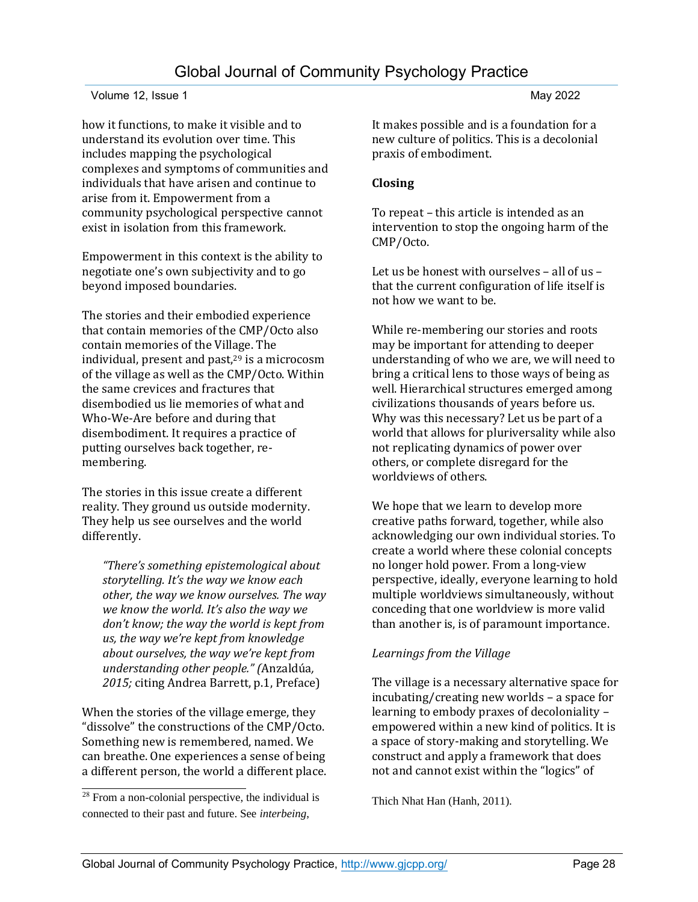how it functions, to make it visible and to understand its evolution over time. This includes mapping the psychological complexes and symptoms of communities and individuals that have arisen and continue to arise from it. Empowerment from a community psychological perspective cannot exist in isolation from this framework.

Empowerment in this context is the ability to negotiate one's own subjectivity and to go beyond imposed boundaries.

The stories and their embodied experience that contain memories of the CMP/Octo also contain memories of the Village. The individual, present and past, $29$  is a microcosm of the village as well as the CMP/Octo. Within the same crevices and fractures that disembodied us lie memories of what and Who-We-Are before and during that disembodiment. It requires a practice of putting ourselves back together, remembering.

The stories in this issue create a different reality. They ground us outside modernity. They help us see ourselves and the world differently.

*"There's something epistemological about storytelling. It's the way we know each other, the way we know ourselves. The way we know the world. It's also the way we don't know; the way the world is kept from us, the way we're kept from knowledge about ourselves, the way we're kept from understanding other people." (*Anzaldúa*, 2015;* citing Andrea Barrett, p.1, Preface)

When the stories of the village emerge, they "dissolve" the constructions of the CMP/Octo. Something new is remembered, named. We can breathe. One experiences a sense of being a different person, the world a different place.

It makes possible and is a foundation for a new culture of politics. This is a decolonial praxis of embodiment.

### **Closing**

To repeat – this article is intended as an intervention to stop the ongoing harm of the CMP/Octo.

Let us be honest with ourselves – all of us – that the current configuration of life itself is not how we want to be.

While re-membering our stories and roots may be important for attending to deeper understanding of who we are, we will need to bring a critical lens to those ways of being as well. Hierarchical structures emerged among civilizations thousands of years before us. Why was this necessary? Let us be part of a world that allows for pluriversality while also not replicating dynamics of power over others, or complete disregard for the worldviews of others.

We hope that we learn to develop more creative paths forward, together, while also acknowledging our own individual stories. To create a world where these colonial concepts no longer hold power. From a long-view perspective, ideally, everyone learning to hold multiple worldviews simultaneously, without conceding that one worldview is more valid than another is, is of paramount importance.

## *Learnings from the Village*

The village is a necessary alternative space for incubating/creating new worlds – a space for learning to embody praxes of decoloniality – empowered within a new kind of politics. It is a space of story-making and storytelling. We construct and apply a framework that does not and cannot exist within the "logics" of

Thich Nhat Han (Hanh, 2011).

<sup>2</sup>8 From a non-colonial perspective, the individual is connected to their past and future. See *interbeing*,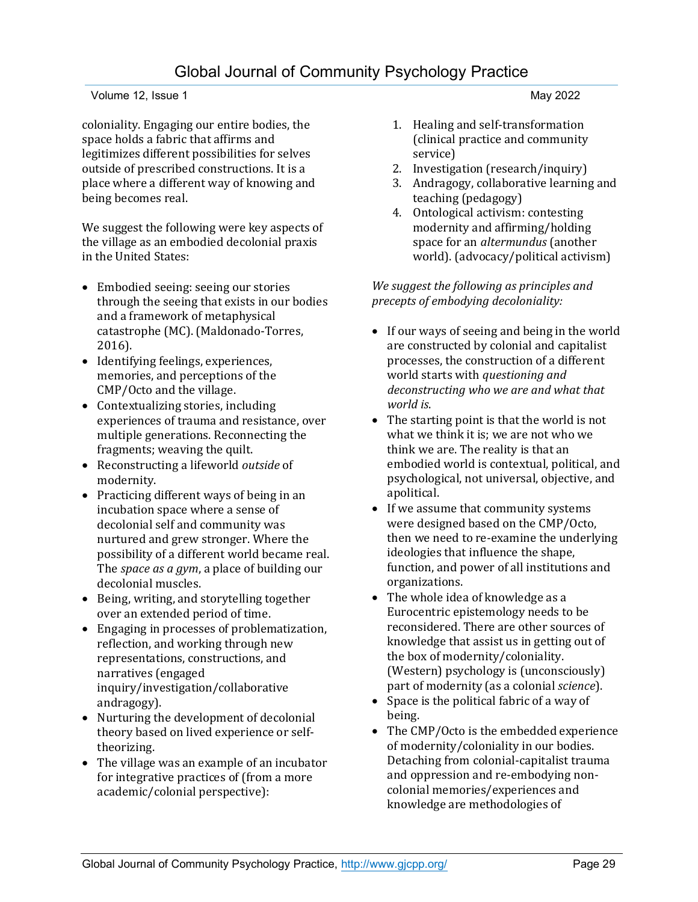coloniality. Engaging our entire bodies, the space holds a fabric that affirms and legitimizes different possibilities for selves outside of prescribed constructions. It is a place where a different way of knowing and being becomes real.

We suggest the following were key aspects of the village as an embodied decolonial praxis in the United States:

- Embodied seeing: seeing our stories through the seeing that exists in our bodies and a framework of metaphysical catastrophe (MC). (Maldonado-Torres, 2016).
- Identifying feelings, experiences, memories, and perceptions of the CMP/Octo and the village.
- Contextualizing stories, including experiences of trauma and resistance, over multiple generations. Reconnecting the fragments; weaving the quilt.
- Reconstructing a lifeworld *outside* of modernity.
- Practicing different ways of being in an incubation space where a sense of decolonial self and community was nurtured and grew stronger. Where the possibility of a different world became real. The *space as a gym*, a place of building our decolonial muscles.
- Being, writing, and storytelling together over an extended period of time.
- Engaging in processes of problematization, reflection, and working through new representations, constructions, and narratives (engaged inquiry/investigation/collaborative andragogy).
- Nurturing the development of decolonial theory based on lived experience or selftheorizing.
- The village was an example of an incubator for integrative practices of (from a more academic/colonial perspective):
- 1. Healing and self-transformation (clinical practice and community service)
- 2. Investigation (research/inquiry)
- 3. Andragogy, collaborative learning and teaching (pedagogy)
- 4. Ontological activism: contesting modernity and affirming/holding space for an *altermundus* (another world). (advocacy/political activism)

*We suggest the following as principles and precepts of embodying decoloniality:*

- If our ways of seeing and being in the world are constructed by colonial and capitalist processes, the construction of a different world starts with *questioning and deconstructing who we are and what that world is*.
- The starting point is that the world is not what we think it is; we are not who we think we are. The reality is that an embodied world is contextual, political, and psychological, not universal, objective, and apolitical.
- If we assume that community systems were designed based on the CMP/Octo, then we need to re-examine the underlying ideologies that influence the shape, function, and power of all institutions and organizations.
- The whole idea of knowledge as a Eurocentric epistemology needs to be reconsidered. There are other sources of knowledge that assist us in getting out of the box of modernity/coloniality. (Western) psychology is (unconsciously) part of modernity (as a colonial *science*).
- Space is the political fabric of a way of being.
- The CMP/Octo is the embedded experience of modernity/coloniality in our bodies. Detaching from colonial-capitalist trauma and oppression and re-embodying noncolonial memories/experiences and knowledge are methodologies of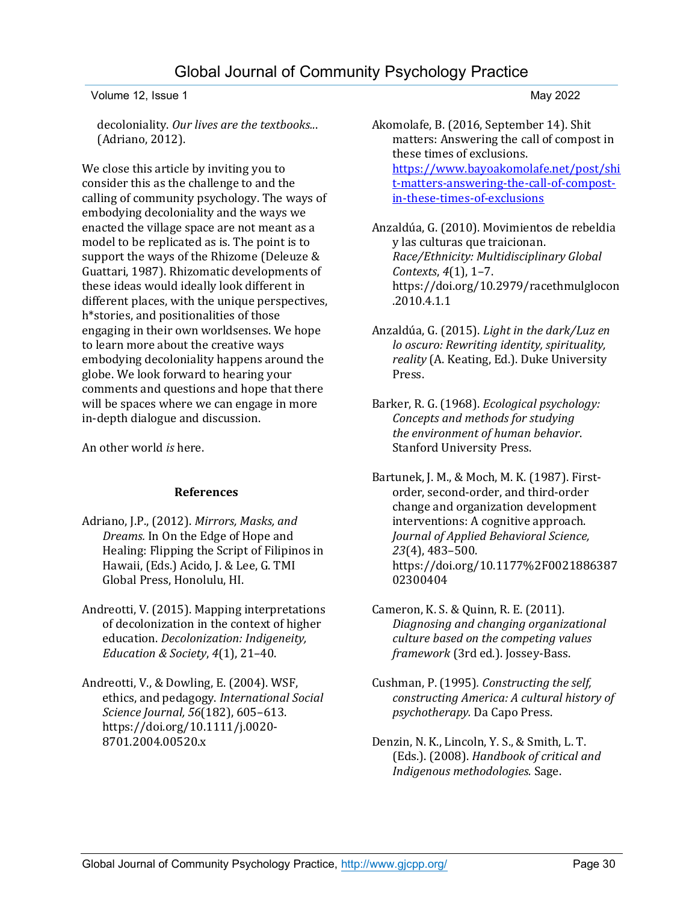Volume 12, Issue 1 May 2022

decoloniality. *Our lives are the textbooks..*. (Adriano, 2012).

We close this article by inviting you to consider this as the challenge to and the calling of community psychology. The ways of embodying decoloniality and the ways we enacted the village space are not meant as a model to be replicated as is. The point is to support the ways of the Rhizome (Deleuze & Guattari, 1987). Rhizomatic developments of these ideas would ideally look different in different places, with the unique perspectives, h\*stories, and positionalities of those engaging in their own worldsenses. We hope to learn more about the creative ways embodying decoloniality happens around the globe. We look forward to hearing your comments and questions and hope that there will be spaces where we can engage in more in-depth dialogue and discussion.

An other world *is* here.

#### **References**

- Adriano, J.P., (2012). *Mirrors, Masks, and Dreams.* In On the Edge of Hope and Healing: Flipping the Script of Filipinos in Hawaii, (Eds.) Acido, J. & Lee, G. TMI Global Press, Honolulu, HI.
- Andreotti, V. (2015). Mapping interpretations of decolonization in the context of higher education. *Decolonization: Indigeneity, Education & Society*, *4*(1), 21–40.
- Andreotti, V., & Dowling, E. (2004). WSF, ethics, and pedagogy. *International Social Science Journal, 56*(182), 605–613. https://doi.org/10.1111/j.0020- 8701.2004.00520.x
- Akomolafe, B. (2016, September 14). Shit matters: Answering the call of compost in these times of exclusions. [https://www.bayoakomolafe.net/post/shi](https://www.bayoakomolafe.net/post/shit-matters-answering-the-call-of-compost-in-these-times-of-exclusions) [t-matters-answering-the-call-of-compost](https://www.bayoakomolafe.net/post/shit-matters-answering-the-call-of-compost-in-these-times-of-exclusions)[in-these-times-of-exclusions](https://www.bayoakomolafe.net/post/shit-matters-answering-the-call-of-compost-in-these-times-of-exclusions)
- Anzaldúa, G. (2010). Movimientos de rebeldia y las culturas que traicionan. *Race/Ethnicity: Multidisciplinary Global Contexts*, *4*(1), 1–7. https://doi.org/10.2979/racethmulglocon .2010.4.1.1
- Anzaldúa, G. (2015). *Light in the dark/Luz en lo oscuro: Rewriting identity, spirituality, reality* (A. Keating, Ed.). Duke University Press.
- Barker, R. G. (1968). *Ecological psychology: Concepts and methods for studying the environment of human behavior*. Stanford University Press.
- Bartunek, J. M., & Moch, M. K. (1987). Firstorder, second-order, and third-order change and organization development interventions: A cognitive approach. *Journal of Applied Behavioral Science, 23*(4), 483–500. https://doi.org/10.1177%2F0021886387 02300404
- Cameron, K. S. & Quinn, R. E. (2011). *Diagnosing and changing organizational culture based on the competing values framework* (3rd ed.). Jossey-Bass.
- Cushman, P. (1995)*. Constructing the self, constructing America: A cultural history of psychotherapy.* Da Capo Press.
- Denzin, N. K., Lincoln, Y. S., & Smith, L. T. (Eds.). (2008). *Handbook of critical and Indigenous methodologies.* Sage.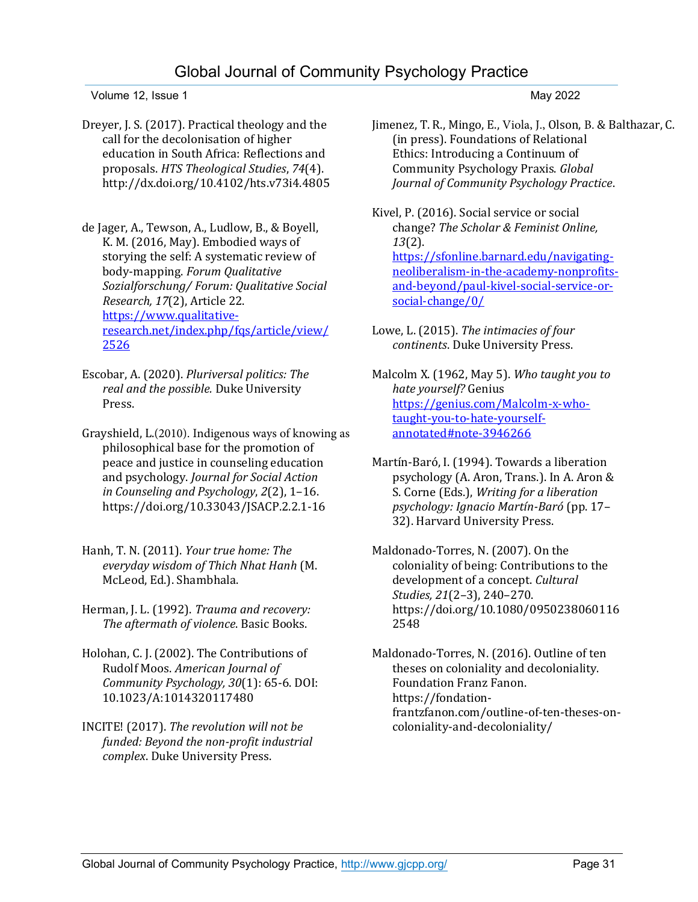Dreyer, J. S. (2017). Practical theology and the call for the decolonisation of higher education in South Africa: Reflections and proposals. *HTS Theological Studies*, *74*(4). http://dx.doi.org/10.4102/hts.v73i4.4805

de Jager, A., Tewson, A., Ludlow, B., & Boyell, K. M. (2016, May). Embodied ways of storying the self: A systematic review of body-mapping. *Forum Qualitative Sozialforschung/ Forum: Qualitative Social Research, 17*(2), Article 22. [https://www.qualitative](https://www.qualitative-research.net/index.php/fqs/article/view/2526)[research.net/index.php/fqs/article/view/](https://www.qualitative-research.net/index.php/fqs/article/view/2526) [2526](https://www.qualitative-research.net/index.php/fqs/article/view/2526)

Escobar, A. (2020). *Pluriversal politics: The real and the possible.* Duke University Press.

Grayshield, L.(2010). Indigenous ways of knowing as philosophical base for the promotion of peace and justice in counseling education and psychology. *Journal for Social Action in Counseling and Psychology*, *2*(2), 1–16. https://doi.org/10.33043/JSACP.2.2.1-16

- Hanh, T. N. (2011). *Your true home: The everyday wisdom of Thich Nhat Hanh* (M. McLeod, Ed.). Shambhala.
- Herman, J. L. (1992). *Trauma and recovery: The aftermath of violence*. Basic Books.
- Holohan, C. J. (2002). The Contributions of Rudolf Moos. *American Journal of Community Psychology, 30*(1): 65-6. DOI: 10.1023/A:1014320117480
- INCITE! (2017). *The revolution will not be funded: Beyond the non-profit industrial complex*. Duke University Press.

Jimenez, T. R., Mingo, E., Viola, J., Olson, B. & Balthazar, C. (in press). Foundations of Relational Ethics: Introducing a Continuum of Community Psychology Praxis. *Global Journal of Community Psychology Practice*.

Kivel, P. (2016). Social service or social change? *The Scholar & Feminist Online, 13*(2). [https://sfonline.barnard.edu/navigating](https://sfonline.barnard.edu/navigating-neoliberalism-in-the-academy-nonprofits-and-beyond/paul-kivel-social-service-or-social-change/0/)[neoliberalism-in-the-academy-nonprofits](https://sfonline.barnard.edu/navigating-neoliberalism-in-the-academy-nonprofits-and-beyond/paul-kivel-social-service-or-social-change/0/)[and-beyond/paul-kivel-social-service-or](https://sfonline.barnard.edu/navigating-neoliberalism-in-the-academy-nonprofits-and-beyond/paul-kivel-social-service-or-social-change/0/)[social-change/0/](https://sfonline.barnard.edu/navigating-neoliberalism-in-the-academy-nonprofits-and-beyond/paul-kivel-social-service-or-social-change/0/)

Lowe, L. (2015). *The intimacies of four continents*. Duke University Press.

Malcolm X. (1962, May 5). *Who taught you to hate yourself?* Genius [https://genius.com/Malcolm-x-who](https://genius.com/Malcolm-x-who-taught-you-to-hate-yourself-annotated#note-3946266)[taught-you-to-hate-yourself](https://genius.com/Malcolm-x-who-taught-you-to-hate-yourself-annotated#note-3946266)[annotated#note-3946266](https://genius.com/Malcolm-x-who-taught-you-to-hate-yourself-annotated#note-3946266)

- Martín-Baró, I. (1994). Towards a liberation psychology (A. Aron, Trans.). In A. Aron & S. Corne (Eds.), *Writing for a liberation psychology: Ignacio Martín-Baró* (pp. 17– 32). Harvard University Press.
- Maldonado-Torres, N. (2007). On the coloniality of being: Contributions to the development of a concept. *Cultural Studies, 21*(2–3), 240–270. https://doi.org/10.1080/0950238060116 2548

Maldonado-Torres, N. (2016). Outline of ten theses on coloniality and decoloniality. Foundation Franz Fanon. https://fondationfrantzfanon.com/outline-of-ten-theses-oncoloniality-and-decoloniality/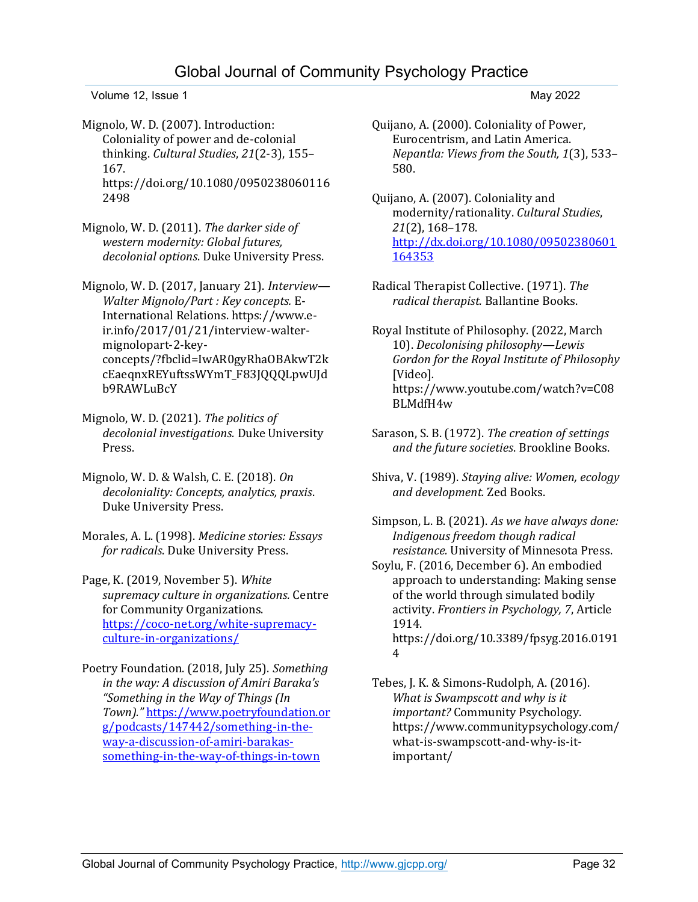Volume 12, Issue 1 May 2022

- Mignolo, W. D. (2007). Introduction: Coloniality of power and de-colonial thinking. *Cultural Studies*, *21*(2-3), 155– 167. https://doi.org/10.1080/0950238060116 2498
- Mignolo, W. D. (2011). *The darker side of western modernity: Global futures, decolonial options*. Duke University Press.
- Mignolo, W. D. (2017, January 21). *Interview— Walter Mignolo/Part : Key concepts.* E-International Relations. https://www.eir.info/2017/01/21/interview-waltermignolopart-2-keyconcepts/?fbclid=IwAR0gyRhaOBAkwT2k cEaeqnxREYuftssWYmT\_F83JQQQLpwUJd b9RAWLuBcY
- Mignolo, W. D. (2021). *The politics of decolonial investigations.* Duke University Press.
- Mignolo, W. D. & Walsh, C. E. (2018). *On decoloniality: Concepts, analytics, praxis*. Duke University Press.
- Morales, A. L. (1998). *Medicine stories: Essays for radicals*. Duke University Press.
- Page, K. (2019, November 5). *White supremacy culture in organizations.* Centre for Community Organizations. [https://coco-net.org/white-supremacy](https://coco-net.org/white-supremacy-culture-in-organizations/)[culture-in-organizations/](https://coco-net.org/white-supremacy-culture-in-organizations/)
- Poetry Foundation. (2018, July 25). *Something in the way: A discussion of Amiri Baraka's "Something in the Way of Things (In Town)."* [https://www.poetryfoundation.or](https://www.poetryfoundation.org/podcasts/147442/something-in-the-way-a-discussion-of-amiri-barakas-something-in-the-way-of-things-in-town) [g/podcasts/147442/something-in-the](https://www.poetryfoundation.org/podcasts/147442/something-in-the-way-a-discussion-of-amiri-barakas-something-in-the-way-of-things-in-town)[way-a-discussion-of-amiri-barakas](https://www.poetryfoundation.org/podcasts/147442/something-in-the-way-a-discussion-of-amiri-barakas-something-in-the-way-of-things-in-town)[something-in-the-way-of-things-in-town](https://www.poetryfoundation.org/podcasts/147442/something-in-the-way-a-discussion-of-amiri-barakas-something-in-the-way-of-things-in-town)
- Quijano, A. (2000). Coloniality of Power, Eurocentrism, and Latin America. *Nepantla: Views from the South, 1*(3), 533– 580.
- Quijano, A. (2007). Coloniality and modernity/rationality. *Cultural Studies*, *21*(2), 168–178. [http://dx.doi.org/10.1080/09502380601](http://dx.doi.org/10.1080/09502380601164353) [164353](http://dx.doi.org/10.1080/09502380601164353)
- Radical Therapist Collective. (1971). *The radical therapist.* Ballantine Books.
- Royal Institute of Philosophy. (2022, March 10). *Decolonising philosophy—Lewis Gordon for the Royal Institute of Philosophy*  [Video]*.*  https://www.youtube.com/watch?v=C08 BLMdfH4w
- Sarason, S. B. (1972). *The creation of settings and the future societies*. Brookline Books.
- Shiva, V. (1989). *Staying alive: Women, ecology and development.* Zed Books.
- Simpson, L. B. (2021). *As we have always done: Indigenous freedom though radical resistance.* University of Minnesota Press.
- Soylu, F. (2016, December 6). An embodied approach to understanding: Making sense of the world through simulated bodily activity. *Frontiers in Psychology, 7*, Article 1914.

https://doi.org/10.3389/fpsyg.2016.0191 4

Tebes, J. K. & Simons-Rudolph, A. (2016). *What is Swampscott and why is it important?* Community Psychology. https://www.communitypsychology.com/ what-is-swampscott-and-why-is-itimportant/